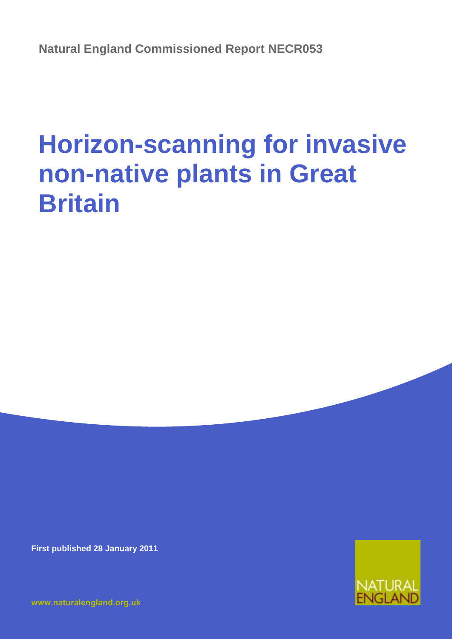# **Horizon-scanning for invasive non-native plants in Great Britain**

**First published 28 January 2011**

**[www.naturalengland.org.uk](http://www.naturalengland.org.uk/)**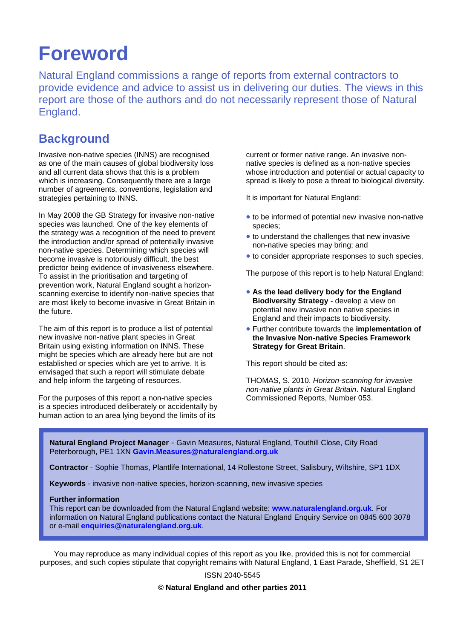## **Foreword**

Natural England commissions a range of reports from external contractors to provide evidence and advice to assist us in delivering our duties. The views in this report are those of the authors and do not necessarily represent those of Natural England.

### **Background**

Invasive non-native species (INNS) are recognised as one of the main causes of global biodiversity loss and all current data shows that this is a problem which is increasing. Consequently there are a large number of agreements, conventions, legislation and strategies pertaining to INNS.

In May 2008 the GB Strategy for invasive non-native species was launched. One of the key elements of the strategy was a recognition of the need to prevent the introduction and/or spread of potentially invasive non-native species. Determining which species will become invasive is notoriously difficult, the best predictor being evidence of invasiveness elsewhere. To assist in the prioritisation and targeting of prevention work, Natural England sought a horizonscanning exercise to identify non-native species that are most likely to become invasive in Great Britain in the future.

The aim of this report is to produce a list of potential new invasive non-native plant species in Great Britain using existing information on INNS. These might be species which are already here but are not established or species which are yet to arrive. It is envisaged that such a report will stimulate debate and help inform the targeting of resources.

For the purposes of this report a non-native species is a species introduced deliberately or accidentally by human action to an area lying beyond the limits of its

current or former native range. An invasive nonnative species is defined as a non-native species whose introduction and potential or actual capacity to spread is likely to pose a threat to biological diversity.

It is important for Natural England:

- to be informed of potential new invasive non-native species;
- to understand the challenges that new invasive non-native species may bring; and
- to consider appropriate responses to such species.

The purpose of this report is to help Natural England:

- **As the lead delivery body for the England Biodiversity Strategy** - develop a view on potential new invasive non native species in England and their impacts to biodiversity.
- Further contribute towards the **implementation of the Invasive Non-native Species Framework Strategy for Great Britain**.

This report should be cited as:

THOMAS, S. 2010. *Horizon-scanning for invasive non-native plants in Great Britain*. Natural England Commissioned Reports, Number 053.

**Natural England Project Manager** - Gavin Measures, Natural England, Touthill Close, City Road Peterborough, PE1 1XN **[Gavin.Measures@naturalengland.org.uk](mailto:Gavin.Measures@naturalengland.org.uk)**

**Contractor** - Sophie Thomas, Plantlife International, 14 Rollestone Street, Salisbury, Wiltshire, SP1 1DX

**Keywords** - invasive non-native species, horizon-scanning, new invasive species

#### **Further information**

This report can be downloaded from the Natural England website: **[www.naturalengland.org.uk](http://www.naturalengland.org.uk/)**. For information on Natural England publications contact the Natural England Enquiry Service on 0845 600 3078 or e-mail **[enquiries@naturalengland.org.uk](mailto:enquiries@naturalengland.org.uk)**.

You may reproduce as many individual copies of this report as you like, provided this is not for commercial purposes, and such copies stipulate that copyright remains with Natural England, 1 East Parade, Sheffield, S1 2ET

ISSN 2040-5545

**© Natural England and other parties 2011**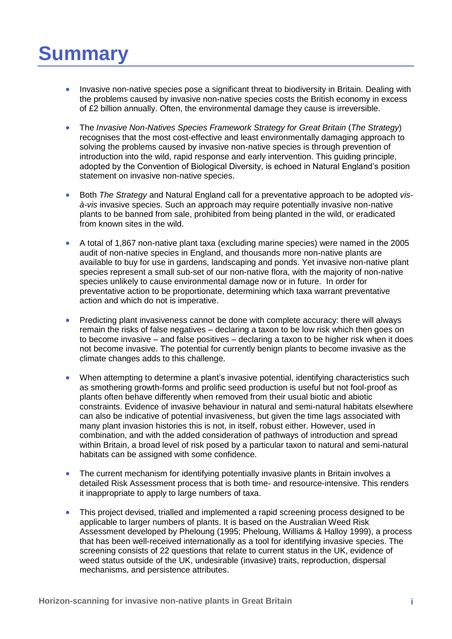## **Summary**

- Invasive non-native species pose a significant threat to biodiversity in Britain. Dealing with the problems caused by invasive non-native species costs the British economy in excess of £2 billion annually. Often, the environmental damage they cause is irreversible.
- The *Invasive Non-Natives Species Framework Strategy for Great Britain* (*The Strategy*) recognises that the most cost-effective and least environmentally damaging approach to solving the problems caused by invasive non-native species is through prevention of introduction into the wild, rapid response and early intervention. This guiding principle, adopted by the Convention of Biological Diversity, is echoed in Natural England's position statement on invasive non-native species.
- Both *The Strategy* and Natural England call for a preventative approach to be adopted *visà-vis* invasive species. Such an approach may require potentially invasive non-native plants to be banned from sale, prohibited from being planted in the wild, or eradicated from known sites in the wild.
- A total of 1,867 non-native plant taxa (excluding marine species) were named in the 2005 audit of non-native species in England, and thousands more non-native plants are available to buy for use in gardens, landscaping and ponds. Yet invasive non-native plant species represent a small sub-set of our non-native flora, with the majority of non-native species unlikely to cause environmental damage now or in future. In order for preventative action to be proportionate, determining which taxa warrant preventative action and which do not is imperative.
- Predicting plant invasiveness cannot be done with complete accuracy: there will always remain the risks of false negatives – declaring a taxon to be low risk which then goes on to become invasive – and false positives – declaring a taxon to be higher risk when it does not become invasive. The potential for currently benign plants to become invasive as the climate changes adds to this challenge.
- When attempting to determine a plant's invasive potential, identifying characteristics such as smothering growth-forms and prolific seed production is useful but not fool-proof as plants often behave differently when removed from their usual biotic and abiotic constraints. Evidence of invasive behaviour in natural and semi-natural habitats elsewhere can also be indicative of potential invasiveness, but given the time lags associated with many plant invasion histories this is not, in itself, robust either. However, used in combination, and with the added consideration of pathways of introduction and spread within Britain, a broad level of risk posed by a particular taxon to natural and semi-natural habitats can be assigned with some confidence.
- The current mechanism for identifying potentially invasive plants in Britain involves a detailed Risk Assessment process that is both time- and resource-intensive. This renders it inappropriate to apply to large numbers of taxa.
- This project devised, trialled and implemented a rapid screening process designed to be applicable to larger numbers of plants. It is based on the Australian Weed Risk Assessment developed by Pheloung (1995; Pheloung, Williams & Halloy 1999), a process that has been well-received internationally as a tool for identifying invasive species. The screening consists of 22 questions that relate to current status in the UK, evidence of weed status outside of the UK, undesirable (invasive) traits, reproduction, dispersal mechanisms, and persistence attributes.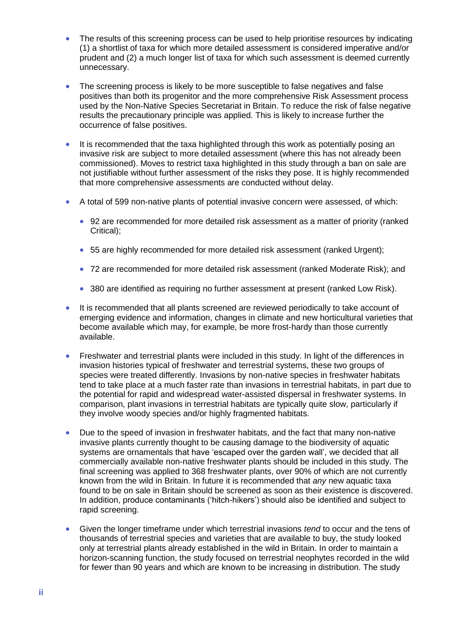- The results of this screening process can be used to help prioritise resources by indicating (1) a shortlist of taxa for which more detailed assessment is considered imperative and/or prudent and (2) a much longer list of taxa for which such assessment is deemed currently unnecessary.
- The screening process is likely to be more susceptible to false negatives and false positives than both its progenitor and the more comprehensive Risk Assessment process used by the Non-Native Species Secretariat in Britain. To reduce the risk of false negative results the precautionary principle was applied. This is likely to increase further the occurrence of false positives.
- It is recommended that the taxa highlighted through this work as potentially posing an invasive risk are subject to more detailed assessment (where this has not already been commissioned). Moves to restrict taxa highlighted in this study through a ban on sale are not justifiable without further assessment of the risks they pose. It is highly recommended that more comprehensive assessments are conducted without delay.
- A total of 599 non-native plants of potential invasive concern were assessed, of which:
	- 92 are recommended for more detailed risk assessment as a matter of priority (ranked Critical);
	- 55 are highly recommended for more detailed risk assessment (ranked Urgent);
	- 72 are recommended for more detailed risk assessment (ranked Moderate Risk); and
	- 380 are identified as requiring no further assessment at present (ranked Low Risk).
- It is recommended that all plants screened are reviewed periodically to take account of emerging evidence and information, changes in climate and new horticultural varieties that become available which may, for example, be more frost-hardy than those currently available.
- Freshwater and terrestrial plants were included in this study. In light of the differences in invasion histories typical of freshwater and terrestrial systems, these two groups of species were treated differently. Invasions by non-native species in freshwater habitats tend to take place at a much faster rate than invasions in terrestrial habitats, in part due to the potential for rapid and widespread water-assisted dispersal in freshwater systems. In comparison, plant invasions in terrestrial habitats are typically quite slow, particularly if they involve woody species and/or highly fragmented habitats.
- Due to the speed of invasion in freshwater habitats, and the fact that many non-native invasive plants currently thought to be causing damage to the biodiversity of aquatic systems are ornamentals that have 'escaped over the garden wall', we decided that all commercially available non-native freshwater plants should be included in this study. The final screening was applied to 368 freshwater plants, over 90% of which are not currently known from the wild in Britain. In future it is recommended that *any* new aquatic taxa found to be on sale in Britain should be screened as soon as their existence is discovered. In addition, produce contaminants ('hitch-hikers') should also be identified and subject to rapid screening.
- Given the longer timeframe under which terrestrial invasions *tend* to occur and the tens of thousands of terrestrial species and varieties that are available to buy, the study looked only at terrestrial plants already established in the wild in Britain. In order to maintain a horizon-scanning function, the study focused on terrestrial neophytes recorded in the wild for fewer than 90 years and which are known to be increasing in distribution. The study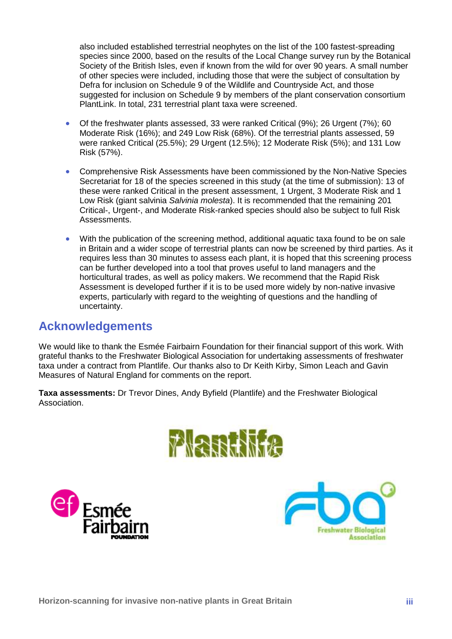also included established terrestrial neophytes on the list of the 100 fastest-spreading species since 2000, based on the results of the Local Change survey run by the Botanical Society of the British Isles, even if known from the wild for over 90 years. A small number of other species were included, including those that were the subject of consultation by Defra for inclusion on Schedule 9 of the Wildlife and Countryside Act, and those suggested for inclusion on Schedule 9 by members of the plant conservation consortium PlantLink. In total, 231 terrestrial plant taxa were screened.

- Of the freshwater plants assessed, 33 were ranked Critical (9%); 26 Urgent (7%); 60 Moderate Risk (16%); and 249 Low Risk (68%). Of the terrestrial plants assessed, 59 were ranked Critical (25.5%); 29 Urgent (12.5%); 12 Moderate Risk (5%); and 131 Low Risk (57%).
- Comprehensive Risk Assessments have been commissioned by the Non-Native Species Secretariat for 18 of the species screened in this study (at the time of submission): 13 of these were ranked Critical in the present assessment, 1 Urgent, 3 Moderate Risk and 1 Low Risk (giant salvinia *Salvinia molesta*). It is recommended that the remaining 201 Critical-, Urgent-, and Moderate Risk-ranked species should also be subject to full Risk Assessments.
- With the publication of the screening method, additional aquatic taxa found to be on sale in Britain and a wider scope of terrestrial plants can now be screened by third parties. As it requires less than 30 minutes to assess each plant, it is hoped that this screening process can be further developed into a tool that proves useful to land managers and the horticultural trades, as well as policy makers. We recommend that the Rapid Risk Assessment is developed further if it is to be used more widely by non-native invasive experts, particularly with regard to the weighting of questions and the handling of uncertainty.

## **Acknowledgements**

We would like to thank the Esmée Fairbairn Foundation for their financial support of this work. With grateful thanks to the Freshwater Biological Association for undertaking assessments of freshwater taxa under a contract from Plantlife. Our thanks also to Dr Keith Kirby, Simon Leach and Gavin Measures of Natural England for comments on the report.

**Taxa assessments:** Dr Trevor Dines, Andy Byfield (Plantlife) and the Freshwater Biological Association.





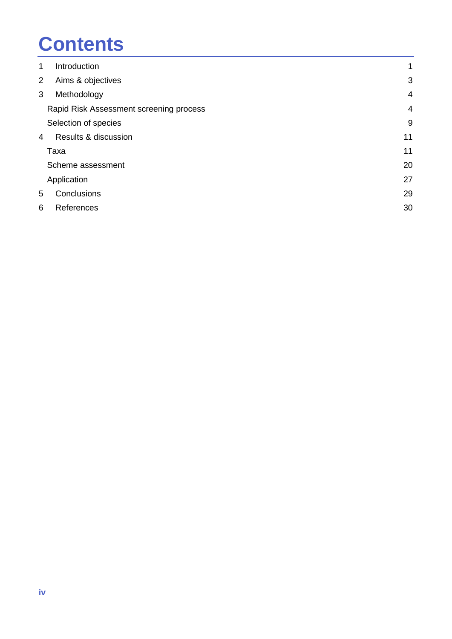# **Contents**

| 1 | Introduction                            | $\mathbf 1$ |
|---|-----------------------------------------|-------------|
| 2 | Aims & objectives                       | 3           |
| 3 | Methodology                             | 4           |
|   | Rapid Risk Assessment screening process | 4           |
|   | Selection of species                    | 9           |
| 4 | Results & discussion                    | 11          |
|   | Taxa                                    | 11          |
|   | Scheme assessment                       | 20          |
|   | Application                             | 27          |
| 5 | Conclusions                             | 29          |
| 6 | References                              | 30          |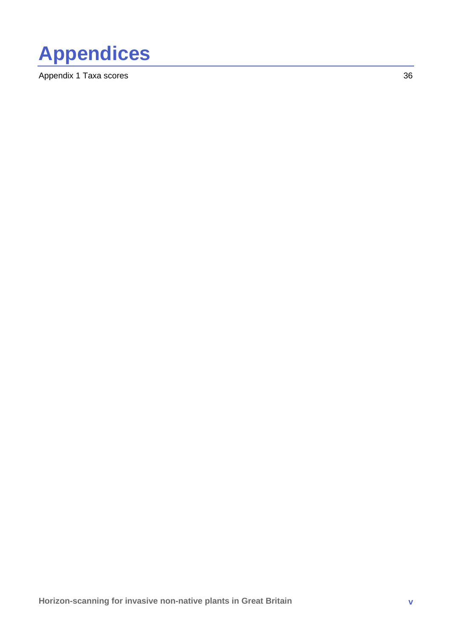

[Appendix 1 Taxa scores](#page-45-0) 36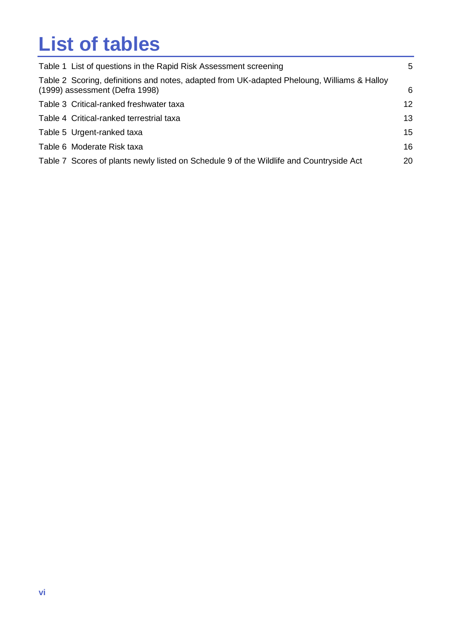## **List of tables**

| Table 1 List of questions in the Rapid Risk Assessment screening                                                              | 5               |
|-------------------------------------------------------------------------------------------------------------------------------|-----------------|
| Table 2 Scoring, definitions and notes, adapted from UK-adapted Pheloung, Williams & Halloy<br>(1999) assessment (Defra 1998) | 6               |
| Table 3 Critical-ranked freshwater taxa                                                                                       | 12 <sup>2</sup> |
| Table 4 Critical-ranked terrestrial taxa                                                                                      | 13              |
| Table 5 Urgent-ranked taxa                                                                                                    | 15              |
| Table 6 Moderate Risk taxa                                                                                                    | 16              |
| Table 7 Scores of plants newly listed on Schedule 9 of the Wildlife and Countryside Act                                       | 20              |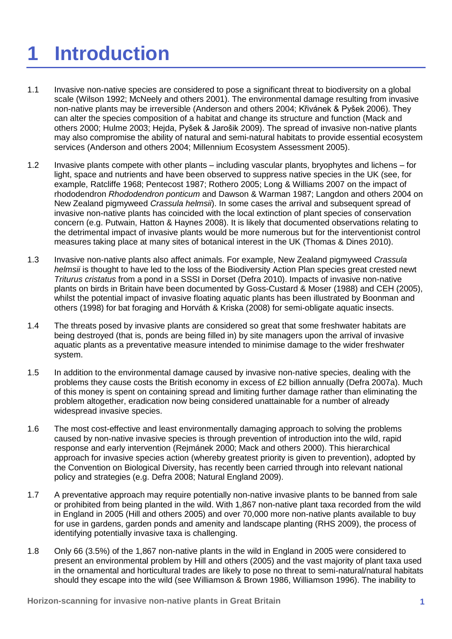# <span id="page-10-0"></span>**1 Introduction**

- 1.1 Invasive non-native species are considered to pose a significant threat to biodiversity on a global scale (Wilson 1992; McNeely and others 2001). The environmental damage resulting from invasive non-native plants may be irreversible (Anderson and others 2004; Křivánek & Pyšek 2006). They can alter the species composition of a habitat and change its structure and function (Mack and others 2000; Hulme 2003; Hejda, Pyšek & Jarošik 2009). The spread of invasive non-native plants may also compromise the ability of natural and semi-natural habitats to provide essential ecosystem services (Anderson and others 2004; Millennium Ecosystem Assessment 2005).
- 1.2 Invasive plants compete with other plants including vascular plants, bryophytes and lichens for light, space and nutrients and have been observed to suppress native species in the UK (see, for example, Ratcliffe 1968; Pentecost 1987; Rothero 2005; Long & Williams 2007 on the impact of rhododendron *Rhododendron ponticum* and Dawson & Warman 1987; Langdon and others 2004 on New Zealand pigmyweed *Crassula helmsii*). In some cases the arrival and subsequent spread of invasive non-native plants has coincided with the local extinction of plant species of conservation concern (e.g. Putwain, Hatton & Haynes 2008). It is likely that documented observations relating to the detrimental impact of invasive plants would be more numerous but for the interventionist control measures taking place at many sites of botanical interest in the UK (Thomas & Dines 2010).
- 1.3 Invasive non-native plants also affect animals. For example, New Zealand pigmyweed *Crassula helmsii* is thought to have led to the loss of the Biodiversity Action Plan species great crested newt *Triturus cristatus* from a pond in a SSSI in Dorset (Defra 2010). Impacts of invasive non-native plants on birds in Britain have been documented by Goss-Custard & Moser (1988) and CEH (2005), whilst the potential impact of invasive floating aquatic plants has been illustrated by Boonman and others (1998) for bat foraging and Horváth & Kriska (2008) for semi-obligate aquatic insects.
- 1.4 The threats posed by invasive plants are considered so great that some freshwater habitats are being destroyed (that is, ponds are being filled in) by site managers upon the arrival of invasive aquatic plants as a preventative measure intended to minimise damage to the wider freshwater system.
- 1.5 In addition to the environmental damage caused by invasive non-native species, dealing with the problems they cause costs the British economy in excess of £2 billion annually (Defra 2007a). Much of this money is spent on containing spread and limiting further damage rather than eliminating the problem altogether, eradication now being considered unattainable for a number of already widespread invasive species.
- 1.6 The most cost-effective and least environmentally damaging approach to solving the problems caused by non-native invasive species is through prevention of introduction into the wild, rapid response and early intervention (Rejmánek 2000; Mack and others 2000). This hierarchical approach for invasive species action (whereby greatest priority is given to prevention), adopted by the Convention on Biological Diversity, has recently been carried through into relevant national policy and strategies (e.g. Defra 2008; Natural England 2009).
- 1.7 A preventative approach may require potentially non-native invasive plants to be banned from sale or prohibited from being planted in the wild. With 1,867 non-native plant taxa recorded from the wild in England in 2005 (Hill and others 2005) and over 70,000 more non-native plants available to buy for use in gardens, garden ponds and amenity and landscape planting (RHS 2009), the process of identifying potentially invasive taxa is challenging.
- 1.8 Only 66 (3.5%) of the 1,867 non-native plants in the wild in England in 2005 were considered to present an environmental problem by Hill and others (2005) and the vast majority of plant taxa used in the ornamental and horticultural trades are likely to pose no threat to semi-natural/natural habitats should they escape into the wild (see Williamson & Brown 1986, Williamson 1996). The inability to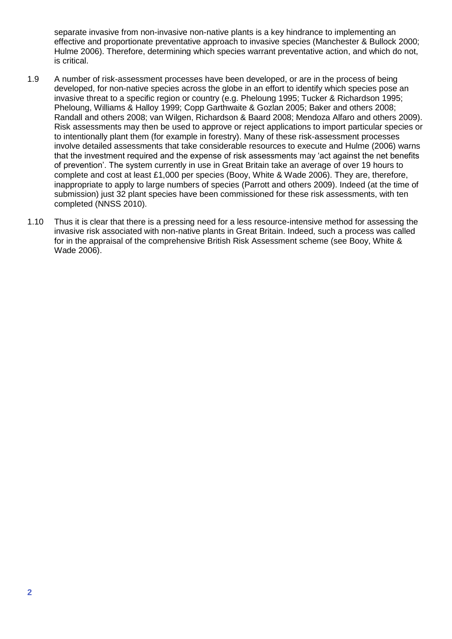separate invasive from non-invasive non-native plants is a key hindrance to implementing an effective and proportionate preventative approach to invasive species (Manchester & Bullock 2000; Hulme 2006). Therefore, determining which species warrant preventative action, and which do not, is critical.

- 1.9 A number of risk-assessment processes have been developed, or are in the process of being developed, for non-native species across the globe in an effort to identify which species pose an invasive threat to a specific region or country (e.g. Pheloung 1995; Tucker & Richardson 1995; Pheloung, Williams & Halloy 1999; Copp Garthwaite & Gozlan 2005; Baker and others 2008; Randall and others 2008; van Wilgen, Richardson & Baard 2008; Mendoza Alfaro and others 2009). Risk assessments may then be used to approve or reject applications to import particular species or to intentionally plant them (for example in forestry). Many of these risk-assessment processes involve detailed assessments that take considerable resources to execute and Hulme (2006) warns that the investment required and the expense of risk assessments may 'act against the net benefits of prevention'. The system currently in use in Great Britain take an average of over 19 hours to complete and cost at least £1,000 per species (Booy, White & Wade 2006). They are, therefore, inappropriate to apply to large numbers of species (Parrott and others 2009). Indeed (at the time of submission) just 32 plant species have been commissioned for these risk assessments, with ten completed (NNSS 2010).
- 1.10 Thus it is clear that there is a pressing need for a less resource-intensive method for assessing the invasive risk associated with non-native plants in Great Britain. Indeed, such a process was called for in the appraisal of the comprehensive British Risk Assessment scheme (see Booy, White & Wade 2006).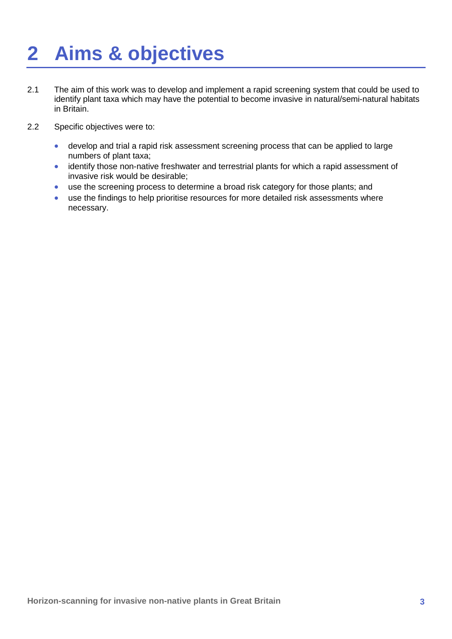# <span id="page-12-0"></span>**2 Aims & objectives**

- 2.1 The aim of this work was to develop and implement a rapid screening system that could be used to identify plant taxa which may have the potential to become invasive in natural/semi-natural habitats in Britain.
- 2.2 Specific objectives were to:
	- develop and trial a rapid risk assessment screening process that can be applied to large numbers of plant taxa;
	- identify those non-native freshwater and terrestrial plants for which a rapid assessment of invasive risk would be desirable;
	- use the screening process to determine a broad risk category for those plants; and
	- use the findings to help prioritise resources for more detailed risk assessments where necessary.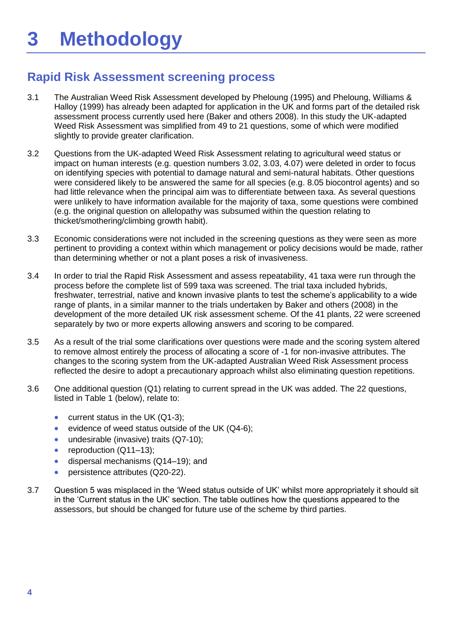## <span id="page-13-1"></span><span id="page-13-0"></span>**Rapid Risk Assessment screening process**

- 3.1 The Australian Weed Risk Assessment developed by Pheloung (1995) and Pheloung, Williams & Halloy (1999) has already been adapted for application in the UK and forms part of the detailed risk assessment process currently used here (Baker and others 2008). In this study the UK-adapted Weed Risk Assessment was simplified from 49 to 21 questions, some of which were modified slightly to provide greater clarification.
- 3.2 Questions from the UK-adapted Weed Risk Assessment relating to agricultural weed status or impact on human interests (e.g. question numbers 3.02, 3.03, 4.07) were deleted in order to focus on identifying species with potential to damage natural and semi-natural habitats. Other questions were considered likely to be answered the same for all species (e.g. 8.05 biocontrol agents) and so had little relevance when the principal aim was to differentiate between taxa. As several questions were unlikely to have information available for the majority of taxa, some questions were combined (e.g. the original question on allelopathy was subsumed within the question relating to thicket/smothering/climbing growth habit).
- 3.3 Economic considerations were not included in the screening questions as they were seen as more pertinent to providing a context within which management or policy decisions would be made, rather than determining whether or not a plant poses a risk of invasiveness.
- 3.4 In order to trial the Rapid Risk Assessment and assess repeatability, 41 taxa were run through the process before the complete list of 599 taxa was screened. The trial taxa included hybrids, freshwater, terrestrial, native and known invasive plants to test the scheme's applicability to a wide range of plants, in a similar manner to the trials undertaken by Baker and others (2008) in the development of the more detailed UK risk assessment scheme. Of the 41 plants, 22 were screened separately by two or more experts allowing answers and scoring to be compared.
- 3.5 As a result of the trial some clarifications over questions were made and the scoring system altered to remove almost entirely the process of allocating a score of -1 for non-invasive attributes. The changes to the scoring system from the UK-adapted Australian Weed Risk Assessment process reflected the desire to adopt a precautionary approach whilst also eliminating question repetitions.
- 3.6 One additional question (Q1) relating to current spread in the UK was added. The 22 questions, listed in Table 1 (below), relate to:
	- **current status in the UK (Q1-3);**
	- evidence of weed status outside of the UK (Q4-6);
	- undesirable (invasive) traits (Q7-10);
	- reproduction (Q11-13);
	- dispersal mechanisms (Q14–19); and
	- **•** persistence attributes (Q20-22).
- 3.7 Question 5 was misplaced in the 'Weed status outside of UK' whilst more appropriately it should sit in the 'Current status in the UK' section. The table outlines how the questions appeared to the assessors, but should be changed for future use of the scheme by third parties.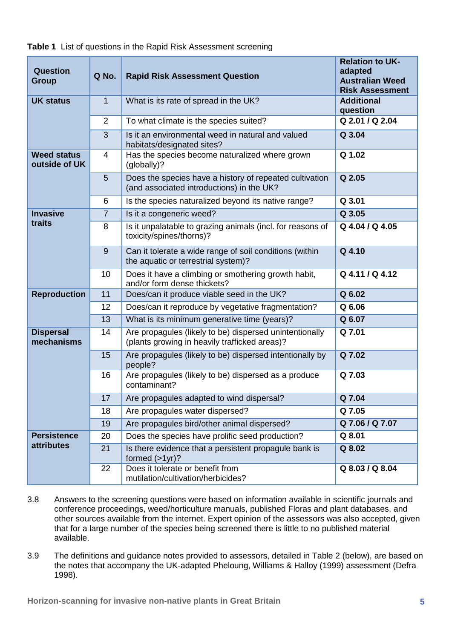| <b>Question</b><br><b>Group</b>     | Q No.          | <b>Rapid Risk Assessment Question</b>                                                                    | <b>Relation to UK-</b><br>adapted<br><b>Australian Weed</b><br><b>Risk Assessment</b> |
|-------------------------------------|----------------|----------------------------------------------------------------------------------------------------------|---------------------------------------------------------------------------------------|
| <b>UK status</b>                    | 1              | What is its rate of spread in the UK?                                                                    | <b>Additional</b><br>question                                                         |
|                                     | $\overline{2}$ | To what climate is the species suited?                                                                   | Q 2.01 / Q 2.04                                                                       |
|                                     | 3              | Is it an environmental weed in natural and valued<br>habitats/designated sites?                          | Q 3.04                                                                                |
| <b>Weed status</b><br>outside of UK | 4              | Has the species become naturalized where grown<br>(globally)?                                            | Q 1.02                                                                                |
|                                     | 5              | Does the species have a history of repeated cultivation<br>(and associated introductions) in the UK?     | Q 2.05                                                                                |
|                                     | 6              | Is the species naturalized beyond its native range?                                                      | Q 3.01                                                                                |
| <b>Invasive</b>                     | $\overline{7}$ | Is it a congeneric weed?                                                                                 | Q 3.05                                                                                |
| traits                              | 8              | Is it unpalatable to grazing animals (incl. for reasons of<br>toxicity/spines/thorns)?                   | Q 4.04 / Q 4.05                                                                       |
|                                     | 9              | Can it tolerate a wide range of soil conditions (within<br>the aquatic or terrestrial system)?           | Q 4.10                                                                                |
|                                     | 10             | Does it have a climbing or smothering growth habit,<br>and/or form dense thickets?                       | Q 4.11 / Q 4.12                                                                       |
| <b>Reproduction</b>                 | 11             | Does/can it produce viable seed in the UK?                                                               | Q 6.02                                                                                |
|                                     | 12             | Does/can it reproduce by vegetative fragmentation?                                                       | Q 6.06                                                                                |
|                                     | 13             | What is its minimum generative time (years)?                                                             | Q 6.07                                                                                |
| <b>Dispersal</b><br>mechanisms      | 14             | Are propagules (likely to be) dispersed unintentionally<br>(plants growing in heavily trafficked areas)? | Q 7.01                                                                                |
|                                     | 15             | Are propagules (likely to be) dispersed intentionally by<br>people?                                      | Q 7.02                                                                                |
|                                     | 16             | Are propagules (likely to be) dispersed as a produce<br>contaminant?                                     | Q 7.03                                                                                |
|                                     | 17             | Are propagules adapted to wind dispersal?                                                                | Q 7.04                                                                                |
|                                     | 18             | Are propagules water dispersed?                                                                          | Q 7.05                                                                                |
|                                     | 19             | Are propagules bird/other animal dispersed?                                                              | Q7.06/Q7.07                                                                           |
| <b>Persistence</b>                  | 20             | Does the species have prolific seed production?                                                          | Q 8.01                                                                                |
| attributes                          | 21             | Is there evidence that a persistent propagule bank is<br>formed $(>1$ yr)?                               | Q 8.02                                                                                |
|                                     | 22             | Does it tolerate or benefit from<br>mutilation/cultivation/herbicides?                                   | Q 8.03 / Q 8.04                                                                       |

<span id="page-14-0"></span>**Table 1** List of questions in the Rapid Risk Assessment screening

- 3.8 Answers to the screening questions were based on information available in scientific journals and conference proceedings, weed/horticulture manuals, published Floras and plant databases, and other sources available from the internet. Expert opinion of the assessors was also accepted, given that for a large number of the species being screened there is little to no published material available.
- 3.9 The definitions and guidance notes provided to assessors, detailed in Table 2 (below), are based on the notes that accompany the UK-adapted Pheloung, Williams & Halloy (1999) assessment (Defra 1998).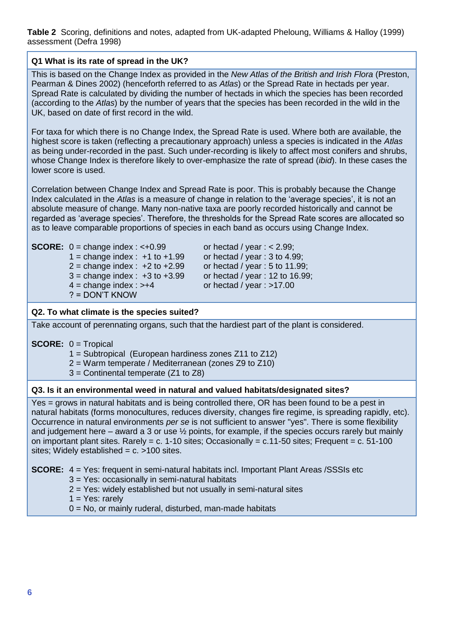<span id="page-15-0"></span>**Table 2** Scoring, definitions and notes, adapted from UK-adapted Pheloung, Williams & Halloy (1999) assessment (Defra 1998)

#### **Q1 What is its rate of spread in the UK?**

This is based on the Change Index as provided in the *New Atlas of the British and Irish Flora* (Preston, Pearman & Dines 2002) (henceforth referred to as *Atlas*) or the Spread Rate in hectads per year. Spread Rate is calculated by dividing the number of hectads in which the species has been recorded (according to the *Atlas*) by the number of years that the species has been recorded in the wild in the UK, based on date of first record in the wild.

For taxa for which there is no Change Index, the Spread Rate is used. Where both are available, the highest score is taken (reflecting a precautionary approach) unless a species is indicated in the *Atlas*  as being under-recorded in the past. Such under-recording is likely to affect most conifers and shrubs, whose Change Index is therefore likely to over-emphasize the rate of spread (*ibid*). In these cases the lower score is used.

Correlation between Change Index and Spread Rate is poor. This is probably because the Change Index calculated in the *Atlas* is a measure of change in relation to the 'average species', it is not an absolute measure of change. Many non-native taxa are poorly recorded historically and cannot be regarded as 'average species'. Therefore, the thresholds for the Spread Rate scores are allocated so as to leave comparable proportions of species in each band as occurs using Change Index.

|  | <b>SCORE:</b> $0 = change index : < +0.99$ |  |  |
|--|--------------------------------------------|--|--|
|--|--------------------------------------------|--|--|

 $1 =$  change index :  $+1$  to  $+1.99$  or hectad / year : 3 to 4.99;  $2 =$  change index :  $+2$  to  $+2.99$  or hectad / year : 5 to 11.99;  $3 =$  change index :  $+3$  to  $+3.99$  or hectad / year : 12 to 16.99;  $4 =$  change index :  $> +4$  or hectad / year :  $>17.00$ ? = DON'T KNOW

**Subsequential index :**  $\epsilon$  **2.99;** or hectad / year :  $\epsilon$  2.99;

#### **Q2. To what climate is the species suited?**

Take account of perennating organs, such that the hardiest part of the plant is considered.

#### **SCORE:** 0 = Tropical

- 1 = Subtropical (European hardiness zones Z11 to Z12)
- 2 = Warm temperate / Mediterranean (zones Z9 to Z10)
- 3 = Continental temperate (Z1 to Z8)

#### **Q3. Is it an environmental weed in natural and valued habitats/designated sites?**

Yes = grows in natural habitats and is being controlled there, OR has been found to be a pest in natural habitats (forms monocultures, reduces diversity, changes fire regime, is spreading rapidly, etc). Occurrence in natural environments *per se* is not sufficient to answer "yes". There is some flexibility and judgement here – award a 3 or use ½ points, for example, if the species occurs rarely but mainly on important plant sites. Rarely =  $c. 1$ -10 sites; Occasionally =  $c.11$ -50 sites; Frequent =  $c. 51$ -100 sites; Widely established =  $c.$  >100 sites.

**SCORE:** 4 = Yes: frequent in semi-natural habitats incl. Important Plant Areas /SSSIs etc

- 3 = Yes: occasionally in semi-natural habitats
- 2 = Yes: widely established but not usually in semi-natural sites
- $1 = Yes: rarely$

0 = No, or mainly ruderal, disturbed, man-made habitats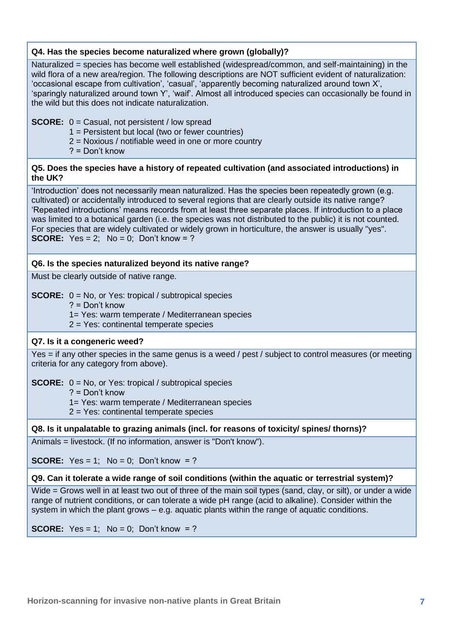#### **Q4. Has the species become naturalized where grown (globally)?**

Naturalized = species has become well established (widespread/common, and self-maintaining) in the wild flora of a new area/region. The following descriptions are NOT sufficient evident of naturalization: 'occasional escape from cultivation', 'casual', 'apparently becoming naturalized around town X', 'sparingly naturalized around town Y', 'waif'. Almost all introduced species can occasionally be found in the wild but this does not indicate naturalization.

#### **SCORE:**  $0 =$  Casual, not persistent / low spread

- 1 = Persistent but local (two or fewer countries)
- 2 = Noxious / notifiable weed in one or more country
- ? = Don't know

#### **Q5. Does the species have a history of repeated cultivation (and associated introductions) in the UK?**

'Introduction' does not necessarily mean naturalized. Has the species been repeatedly grown (e.g. cultivated) or accidentally introduced to several regions that are clearly outside its native range? 'Repeated introductions' means records from at least three separate places. If introduction to a place was limited to a botanical garden (i.e. the species was not distributed to the public) it is not counted. For species that are widely cultivated or widely grown in horticulture, the answer is usually "yes". **SCORE:**  $Yes = 2$ ;  $No = 0$ ;  $Don't know = ?$ 

#### **Q6. Is the species naturalized beyond its native range?**

Must be clearly outside of native range.

**SCORE:**  $0 = No$ , or Yes: tropical / subtropical species

? = Don't know

1= Yes: warm temperate / Mediterranean species

2 = Yes: continental temperate species

#### **Q7. Is it a congeneric weed?**

Yes = if any other species in the same genus is a weed / pest / subject to control measures (or meeting criteria for any category from above).

#### **SCORE:**  $0 = No$ , or Yes: tropical / subtropical species

? = Don't know

1= Yes: warm temperate / Mediterranean species

2 = Yes: continental temperate species

#### **Q8. Is it unpalatable to grazing animals (incl. for reasons of toxicity/ spines/ thorns)?**

Animals = livestock. (If no information, answer is "Don't know").

**SCORE:** Yes = 1; No = 0; Don't know = ?

#### **Q9. Can it tolerate a wide range of soil conditions (within the aquatic or terrestrial system)?**

Wide = Grows well in at least two out of three of the main soil types (sand, clay, or silt), or under a wide range of nutrient conditions, or can tolerate a wide pH range (acid to alkaline). Consider within the system in which the plant grows – e.g. aquatic plants within the range of aquatic conditions.

**SCORE:** Yes = 1; No = 0; Don't know = ?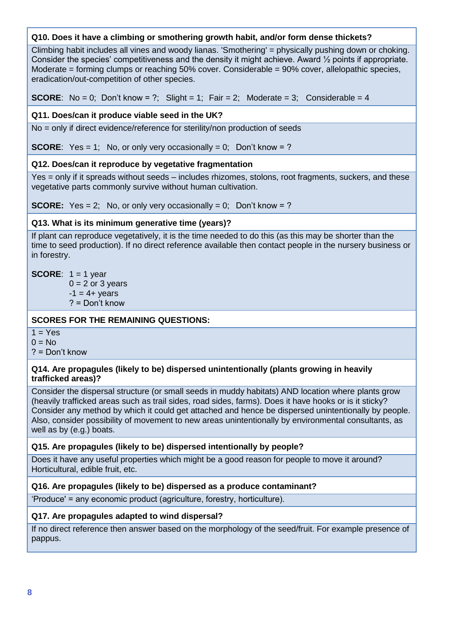#### **Q10. Does it have a climbing or smothering growth habit, and/or form dense thickets?**

Climbing habit includes all vines and woody lianas. 'Smothering' = physically pushing down or choking. Consider the species' competitiveness and the density it might achieve. Award ½ points if appropriate. Moderate = forming clumps or reaching 50% cover. Considerable = 90% cover, allelopathic species, eradication/out-competition of other species.

**SCORE:** No = 0; Don't know = ?; Slight = 1; Fair = 2; Moderate = 3; Considerable = 4

#### **Q11. Does/can it produce viable seed in the UK?**

No = only if direct evidence/reference for sterility/non production of seeds

**SCORE:** Yes = 1; No, or only very occasionally = 0; Don't know = ?

#### **Q12. Does/can it reproduce by vegetative fragmentation**

Yes = only if it spreads without seeds – includes rhizomes, stolons, root fragments, suckers, and these vegetative parts commonly survive without human cultivation.

**SCORE:** Yes = 2; No, or only very occasionally = 0; Don't know = ?

#### **Q13. What is its minimum generative time (years)?**

If plant can reproduce vegetatively, it is the time needed to do this (as this may be shorter than the time to seed production). If no direct reference available then contact people in the nursery business or in forestry.

#### **SCORE:**  $1 = 1$  year

 $0 = 2$  or 3 years

 $-1 = 4 + \text{ years}$ ? = Don't know

#### **SCORES FOR THE REMAINING QUESTIONS:**

 $1 = Yes$ 

 $0 = No$ 

? = Don't know

#### **Q14. Are propagules (likely to be) dispersed unintentionally (plants growing in heavily trafficked areas)?**

Consider the dispersal structure (or small seeds in muddy habitats) AND location where plants grow (heavily trafficked areas such as trail sides, road sides, farms). Does it have hooks or is it sticky? Consider any method by which it could get attached and hence be dispersed unintentionally by people. Also, consider possibility of movement to new areas unintentionally by environmental consultants, as well as by (e.g.) boats.

#### **Q15. Are propagules (likely to be) dispersed intentionally by people?**

Does it have any useful properties which might be a good reason for people to move it around? Horticultural, edible fruit, etc.

#### **Q16. Are propagules (likely to be) dispersed as a produce contaminant?**

'Produce' = any economic product (agriculture, forestry, horticulture).

#### **Q17. Are propagules adapted to wind dispersal?**

If no direct reference then answer based on the morphology of the seed/fruit. For example presence of pappus.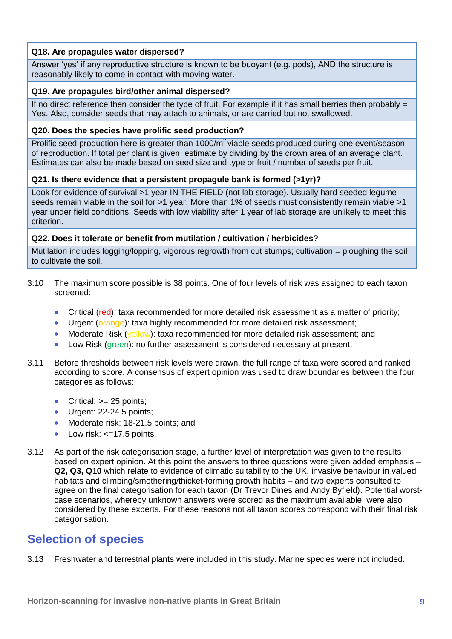#### **Q18. Are propagules water dispersed?**

Answer 'yes' if any reproductive structure is known to be buoyant (e.g. pods), AND the structure is reasonably likely to come in contact with moving water.

#### **Q19. Are propagules bird/other animal dispersed?**

If no direct reference then consider the type of fruit. For example if it has small berries then probably  $=$ Yes. Also, consider seeds that may attach to animals, or are carried but not swallowed.

#### **Q20. Does the species have prolific seed production?**

Prolific seed production here is greater than  $1000/m^2$  viable seeds produced during one event/season of reproduction. If total per plant is given, estimate by dividing by the crown area of an average plant. Estimates can also be made based on seed size and type or fruit / number of seeds per fruit.

#### **Q21. Is there evidence that a persistent propagule bank is formed (>1yr)?**

Look for evidence of survival >1 year IN THE FIELD (not lab storage). Usually hard seeded legume seeds remain viable in the soil for >1 year. More than 1% of seeds must consistently remain viable >1 year under field conditions. Seeds with low viability after 1 year of lab storage are unlikely to meet this criterion.

#### **Q22. Does it tolerate or benefit from mutilation / cultivation / herbicides?**

Mutilation includes logging/lopping, vigorous regrowth from cut stumps; cultivation = ploughing the soil to cultivate the soil.

- 3.10 The maximum score possible is 38 points. One of four levels of risk was assigned to each taxon screened:
	- Critical (red): taxa recommended for more detailed risk assessment as a matter of priority;
	- Urgent (orange): taxa highly recommended for more detailed risk assessment:
	- Moderate Risk (yellow): taxa recommended for more detailed risk assessment; and
	- Low Risk (green): no further assessment is considered necessary at present.
- 3.11 Before thresholds between risk levels were drawn, the full range of taxa were scored and ranked according to score. A consensus of expert opinion was used to draw boundaries between the four categories as follows:
	- Critical:  $>= 25$  points;
	- Urgent: 22-24.5 points;
	- Moderate risk: 18-21.5 points: and
	- Low risk:  $\leq$ =17.5 points.
- 3.12 As part of the risk categorisation stage, a further level of interpretation was given to the results based on expert opinion. At this point the answers to three questions were given added emphasis – **Q2, Q3, Q10** which relate to evidence of climatic suitability to the UK, invasive behaviour in valued habitats and climbing/smothering/thicket-forming growth habits – and two experts consulted to agree on the final categorisation for each taxon (Dr Trevor Dines and Andy Byfield). Potential worstcase scenarios, whereby unknown answers were scored as the maximum available, were also considered by these experts. For these reasons not all taxon scores correspond with their final risk categorisation.

### <span id="page-18-0"></span>**Selection of species**

3.13 Freshwater and terrestrial plants were included in this study. Marine species were not included.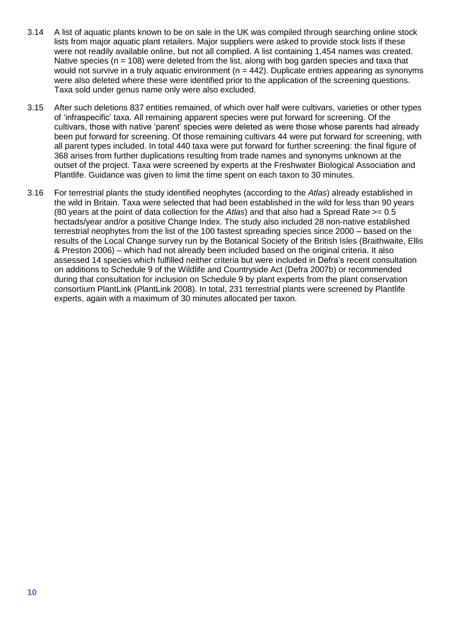- 3.14 A list of aquatic plants known to be on sale in the UK was compiled through searching online stock lists from major aquatic plant retailers. Major suppliers were asked to provide stock lists if these were not readily available online, but not all complied. A list containing 1,454 names was created. Native species ( $n = 108$ ) were deleted from the list, along with bog garden species and taxa that would not survive in a truly aquatic environment ( $n = 442$ ). Duplicate entries appearing as synonyms were also deleted where these were identified prior to the application of the screening questions. Taxa sold under genus name only were also excluded.
- 3.15 After such deletions 837 entities remained, of which over half were cultivars, varieties or other types of 'infraspecific' taxa. All remaining apparent species were put forward for screening. Of the cultivars, those with native 'parent' species were deleted as were those whose parents had already been put forward for screening. Of those remaining cultivars 44 were put forward for screening, with all parent types included. In total 440 taxa were put forward for further screening: the final figure of 368 arises from further duplications resulting from trade names and synonyms unknown at the outset of the project. Taxa were screened by experts at the Freshwater Biological Association and Plantlife. Guidance was given to limit the time spent on each taxon to 30 minutes.
- 3.16 For terrestrial plants the study identified neophytes (according to the *Atlas*) already established in the wild in Britain. Taxa were selected that had been established in the wild for less than 90 years (80 years at the point of data collection for the *Atlas*) and that also had a Spread Rate >= 0.5 hectads/year and/or a positive Change Index. The study also included 28 non-native established terrestrial neophytes from the list of the 100 fastest spreading species since 2000 – based on the results of the Local Change survey run by the Botanical Society of the British Isles (Braithwaite, Ellis & Preston 2006) – which had not already been included based on the original criteria. It also assessed 14 species which fulfilled neither criteria but were included in Defra's recent consultation on additions to Schedule 9 of the Wildlife and Countryside Act (Defra 2007b) or recommended during that consultation for inclusion on Schedule 9 by plant experts from the plant conservation consortium PlantLink (PlantLink 2008). In total, 231 terrestrial plants were screened by Plantlife experts, again with a maximum of 30 minutes allocated per taxon.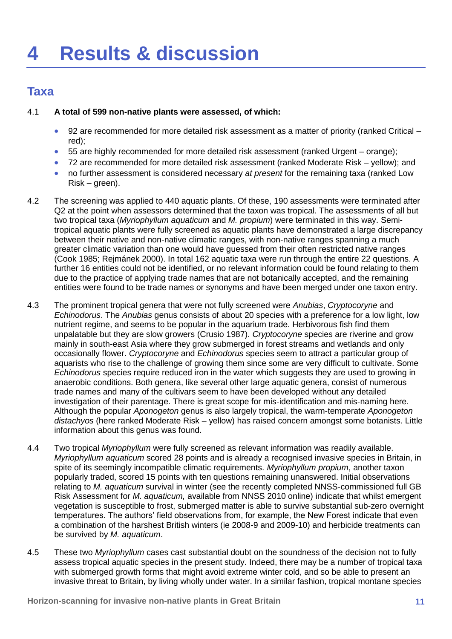## <span id="page-20-1"></span><span id="page-20-0"></span>**Taxa**

#### 4.1 **A total of 599 non-native plants were assessed, of which:**

- 92 are recommended for more detailed risk assessment as a matter of priority (ranked Critical red);
- 55 are highly recommended for more detailed risk assessment (ranked Urgent orange);
- 72 are recommended for more detailed risk assessment (ranked Moderate Risk yellow); and
- no further assessment is considered necessary *at present* for the remaining taxa (ranked Low Risk – green).
- 4.2 The screening was applied to 440 aquatic plants. Of these, 190 assessments were terminated after Q2 at the point when assessors determined that the taxon was tropical. The assessments of all but two tropical taxa (*Myriophyllum aquaticum* and *M. propium*) were terminated in this way. Semitropical aquatic plants were fully screened as aquatic plants have demonstrated a large discrepancy between their native and non-native climatic ranges, with non-native ranges spanning a much greater climatic variation than one would have guessed from their often restricted native ranges (Cook 1985; Rejmánek 2000). In total 162 aquatic taxa were run through the entire 22 questions. A further 16 entities could not be identified, or no relevant information could be found relating to them due to the practice of applying trade names that are not botanically accepted, and the remaining entities were found to be trade names or synonyms and have been merged under one taxon entry.
- 4.3 The prominent tropical genera that were not fully screened were *Anubias*, *Cryptocoryne* and *Echinodorus*. The *Anubias* genus consists of about 20 species with a preference for a low light, low nutrient regime, and seems to be popular in the aquarium trade. Herbivorous fish find them unpalatable but they are slow growers (Crusio 1987). *Cryptocoryne* species are riverine and grow mainly in south-east Asia where they grow submerged in forest streams and wetlands and only occasionally flower. *Cryptocoryne* and *Echinodorus* species seem to attract a particular group of aquarists who rise to the challenge of growing them since some are very difficult to cultivate. Some *Echinodorus* species require reduced iron in the water which suggests they are used to growing in anaerobic conditions. Both genera, like several other large aquatic genera, consist of numerous trade names and many of the cultivars seem to have been developed without any detailed investigation of their parentage. There is great scope for mis-identification and mis-naming here. Although the popular *Aponogeton* genus is also largely tropical, the warm-temperate *Aponogeton distachyos* (here ranked Moderate Risk – yellow) has raised concern amongst some botanists. Little information about this genus was found.
- 4.4 Two tropical *Myriophyllum* were fully screened as relevant information was readily available. *Myriophyllum aquaticum* scored 28 points and is already a recognised invasive species in Britain, in spite of its seemingly incompatible climatic requirements. *Myriophyllum propium*, another taxon popularly traded, scored 15 points with ten questions remaining unanswered. Initial observations relating to *M. aquaticum* survival in winter (see the recently completed NNSS-commissioned full GB Risk Assessment for *M. aquaticum,* available from NNSS 2010 online) indicate that whilst emergent vegetation is susceptible to frost, submerged matter is able to survive substantial sub-zero overnight temperatures. The authors' field observations from, for example, the New Forest indicate that even a combination of the harshest British winters (ie 2008-9 and 2009-10) and herbicide treatments can be survived by *M. aquaticum*.
- 4.5 These two *Myriophyllum* cases cast substantial doubt on the soundness of the decision not to fully assess tropical aquatic species in the present study. Indeed, there may be a number of tropical taxa with submerged growth forms that might avoid extreme winter cold, and so be able to present an invasive threat to Britain, by living wholly under water. In a similar fashion, tropical montane species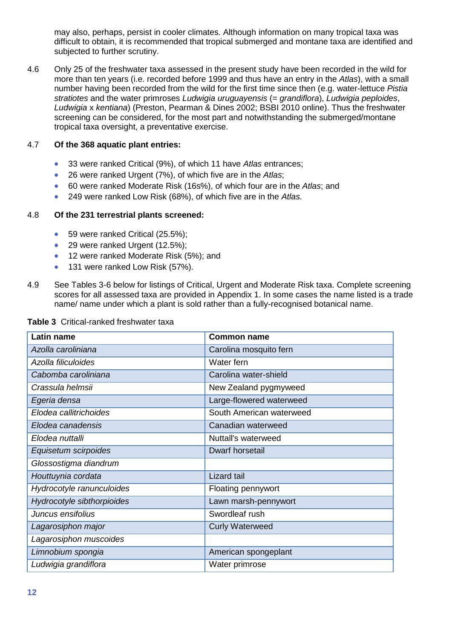may also, perhaps, persist in cooler climates. Although information on many tropical taxa was difficult to obtain, it is recommended that tropical submerged and montane taxa are identified and subjected to further scrutiny.

4.6 Only 25 of the freshwater taxa assessed in the present study have been recorded in the wild for more than ten years (i.e. recorded before 1999 and thus have an entry in the *Atlas*), with a small number having been recorded from the wild for the first time since then (e.g. water-lettuce *Pistia stratiotes* and the water primroses *Ludwigia uruguayensis* (= *grandiflora*), *Ludwigia peploides*, *Ludwigia* x *kentiana*) (Preston, Pearman & Dines 2002; BSBI 2010 online). Thus the freshwater screening can be considered, for the most part and notwithstanding the submerged/montane tropical taxa oversight, a preventative exercise.

#### 4.7 **Of the 368 aquatic plant entries:**

- 33 were ranked Critical (9%), of which 11 have *Atlas* entrances;
- 26 were ranked Urgent (7%), of which five are in the *Atlas*;
- 60 were ranked Moderate Risk (16s%), of which four are in the *Atlas*; and
- 249 were ranked Low Risk (68%), of which five are in the *Atlas.*

#### 4.8 **Of the 231 terrestrial plants screened:**

- 59 were ranked Critical (25.5%);
- 29 were ranked Urgent (12.5%);
- 12 were ranked Moderate Risk (5%); and
- 131 were ranked Low Risk (57%).
- 4.9 See Tables 3-6 below for listings of Critical, Urgent and Moderate Risk taxa. Complete screening scores for all assessed taxa are provided in Appendix 1. In some cases the name listed is a trade name/ name under which a plant is sold rather than a fully-recognised botanical name.

| <b>Latin name</b>          | <b>Common name</b>       |
|----------------------------|--------------------------|
| Azolla caroliniana         | Carolina mosquito fern   |
| Azolla filiculoides        | Water fern               |
| Cabomba caroliniana        | Carolina water-shield    |
| Crassula helmsii           | New Zealand pygmyweed    |
| Egeria densa               | Large-flowered waterweed |
| Elodea callitrichoides     | South American waterweed |
| Elodea canadensis          | Canadian waterweed       |
| Elodea nuttalli            | Nuttall's waterweed      |
| Equisetum scirpoides       | Dwarf horsetail          |
| Glossostigma diandrum      |                          |
| Houttuynia cordata         | Lizard tail              |
| Hydrocotyle ranunculoides  | Floating pennywort       |
| Hydrocotyle sibthorpioides | Lawn marsh-pennywort     |
| Juncus ensifolius          | Swordleaf rush           |
| Lagarosiphon major         | <b>Curly Waterweed</b>   |
| Lagarosiphon muscoides     |                          |
| Limnobium spongia          | American spongeplant     |
| Ludwigia grandiflora       | Water primrose           |

#### <span id="page-21-0"></span>**Table 3** Critical-ranked freshwater taxa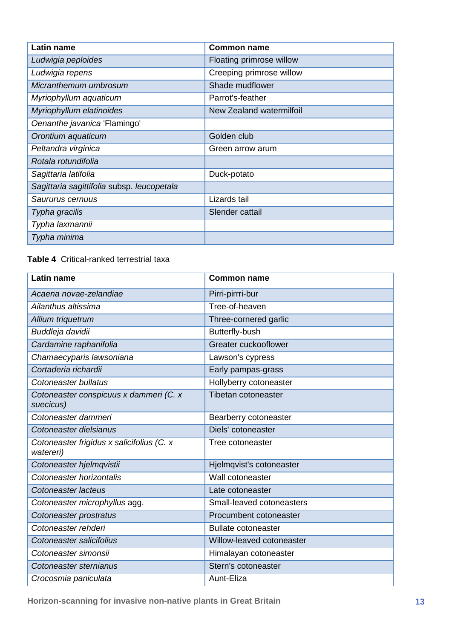| Latin name                                 | <b>Common name</b>       |
|--------------------------------------------|--------------------------|
| Ludwigia peploides                         | Floating primrose willow |
| Ludwigia repens                            | Creeping primrose willow |
| Micranthemum umbrosum                      | Shade mudflower          |
| Myriophyllum aquaticum                     | Parrot's-feather         |
| Myriophyllum elatinoides                   | New Zealand watermilfoil |
| Oenanthe javanica 'Flamingo'               |                          |
| Orontium aquaticum                         | Golden club              |
| Peltandra virginica                        | Green arrow arum         |
| Rotala rotundifolia                        |                          |
| Sagittaria latifolia                       | Duck-potato              |
| Sagittaria sagittifolia subsp. leucopetala |                          |
| Saururus cernuus                           | Lizards tail             |
| Typha gracilis                             | Slender cattail          |
| Typha laxmannii                            |                          |
| Typha minima                               |                          |

<span id="page-22-0"></span>**Table 4** Critical-ranked terrestrial taxa

| <b>Latin name</b>                                      | <b>Common name</b>         |
|--------------------------------------------------------|----------------------------|
| Acaena novae-zelandiae                                 | Pirri-pirrri-bur           |
| Ailanthus altissima                                    | Tree-of-heaven             |
| Allium triquetrum                                      | Three-cornered garlic      |
| Buddleja davidii                                       | Butterfly-bush             |
| Cardamine raphanifolia                                 | Greater cuckooflower       |
| Chamaecyparis lawsoniana                               | Lawson's cypress           |
| Cortaderia richardii                                   | Early pampas-grass         |
| Cotoneaster bullatus                                   | Hollyberry cotoneaster     |
| Cotoneaster conspicuus x dammeri (C. x<br>suecicus)    | <b>Tibetan cotoneaster</b> |
| Cotoneaster dammeri                                    | Bearberry cotoneaster      |
| Cotoneaster dielsianus                                 | Diels' cotoneaster         |
| Cotoneaster frigidus x salicifolius (C. x<br>watereri) | Tree cotoneaster           |
| Cotoneaster hjelmqvistii                               | Hjelmqvist's cotoneaster   |
| Cotoneaster horizontalis                               | Wall cotoneaster           |
| Cotoneaster lacteus                                    | Late cotoneaster           |
| Cotoneaster microphyllus agg.                          | Small-leaved cotoneasters  |
| Cotoneaster prostratus                                 | Procumbent cotoneaster     |
| Cotoneaster rehderi                                    | <b>Bullate cotoneaster</b> |
| Cotoneaster salicifolius                               | Willow-leaved cotoneaster  |
| Cotoneaster simonsii                                   | Himalayan cotoneaster      |
| Cotoneaster sternianus                                 | Stern's cotoneaster        |
| Crocosmia paniculata                                   | Aunt-Eliza                 |

**Horizon-scanning for invasive non-native plants in Great Britain 13**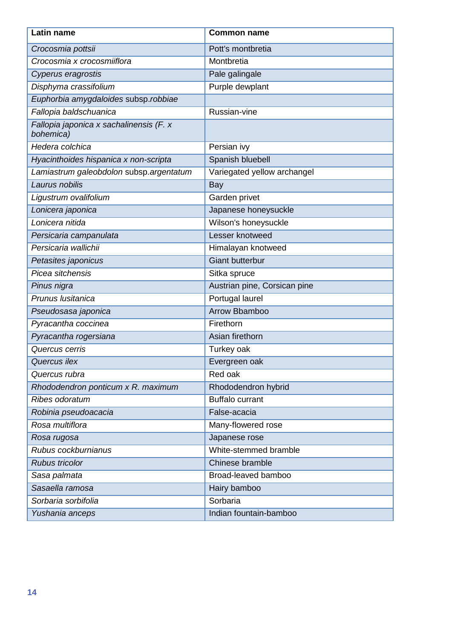| Latin name                                           | <b>Common name</b>           |
|------------------------------------------------------|------------------------------|
| Crocosmia pottsii                                    | Pott's montbretia            |
| Crocosmia x crocosmiiflora                           | Montbretia                   |
| Cyperus eragrostis                                   | Pale galingale               |
| Disphyma crassifolium                                | Purple dewplant              |
| Euphorbia amygdaloides subsp.robbiae                 |                              |
| Fallopia baldschuanica                               | Russian-vine                 |
| Fallopia japonica x sachalinensis (F. x<br>bohemica) |                              |
| Hedera colchica                                      | Persian ivy                  |
| Hyacinthoides hispanica x non-scripta                | Spanish bluebell             |
| Lamiastrum galeobdolon subsp.argentatum              | Variegated yellow archangel  |
| Laurus nobilis                                       | Bay                          |
| Ligustrum ovalifolium                                | Garden privet                |
| Lonicera japonica                                    | Japanese honeysuckle         |
| Lonicera nitida                                      | Wilson's honeysuckle         |
| Persicaria campanulata                               | Lesser knotweed              |
| Persicaria wallichii                                 | Himalayan knotweed           |
| Petasites japonicus                                  | <b>Giant butterbur</b>       |
| Picea sitchensis                                     | Sitka spruce                 |
| Pinus nigra                                          | Austrian pine, Corsican pine |
| Prunus Iusitanica                                    | Portugal laurel              |
| Pseudosasa japonica                                  | Arrow Bbamboo                |
| Pyracantha coccinea                                  | Firethorn                    |
| Pyracantha rogersiana                                | Asian firethorn              |
| Quercus cerris                                       | Turkey oak                   |
| Quercus ilex                                         | Evergreen oak                |
| Quercus rubra                                        | Red oak                      |
| Rhododendron ponticum x R. maximum                   | Rhododendron hybrid          |
| Ribes odoratum                                       | <b>Buffalo currant</b>       |
| Robinia pseudoacacia                                 | False-acacia                 |
| Rosa multiflora                                      | Many-flowered rose           |
| Rosa rugosa                                          | Japanese rose                |
| Rubus cockburnianus                                  | White-stemmed bramble        |
| <b>Rubus tricolor</b>                                | Chinese bramble              |
| Sasa palmata                                         | Broad-leaved bamboo          |
| Sasaella ramosa                                      | Hairy bamboo                 |
| Sorbaria sorbifolia                                  | Sorbaria                     |
| Yushania anceps                                      | Indian fountain-bamboo       |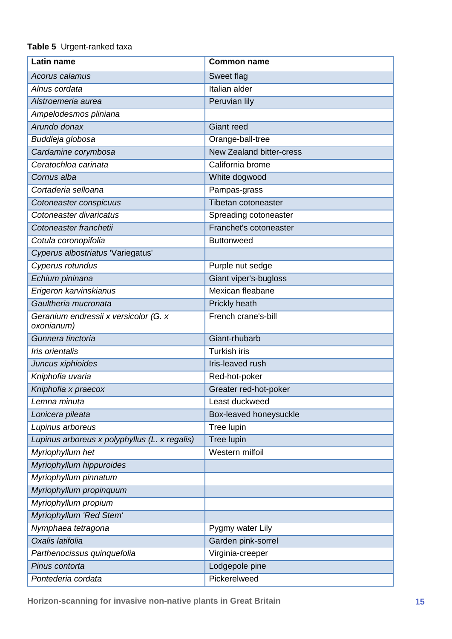#### <span id="page-24-0"></span>**Table 5** Urgent-ranked taxa

| Latin name                                          | <b>Common name</b>              |
|-----------------------------------------------------|---------------------------------|
| Acorus calamus                                      | Sweet flag                      |
| Alnus cordata                                       | Italian alder                   |
| Alstroemeria aurea                                  | Peruvian lily                   |
| Ampelodesmos pliniana                               |                                 |
| Arundo donax                                        | <b>Giant reed</b>               |
| Buddleja globosa                                    | Orange-ball-tree                |
| Cardamine corymbosa                                 | <b>New Zealand bitter-cress</b> |
| Ceratochloa carinata                                | California brome                |
| Cornus alba                                         | White dogwood                   |
| Cortaderia selloana                                 | Pampas-grass                    |
| Cotoneaster conspicuus                              | Tibetan cotoneaster             |
| Cotoneaster divaricatus                             | Spreading cotoneaster           |
| Cotoneaster franchetii                              | Franchet's cotoneaster          |
| Cotula coronopifolia                                | <b>Buttonweed</b>               |
| Cyperus albostriatus 'Variegatus'                   |                                 |
| Cyperus rotundus                                    | Purple nut sedge                |
| Echium pininana                                     | Giant viper's-bugloss           |
| Erigeron karvinskianus                              | Mexican fleabane                |
| Gaultheria mucronata                                | Prickly heath                   |
| Geranium endressii x versicolor (G. x<br>oxonianum) | French crane's-bill             |
| Gunnera tinctoria                                   | Giant-rhubarb                   |
| Iris orientalis                                     | <b>Turkish iris</b>             |
| Juncus xiphioides                                   | Iris-leaved rush                |
| Kniphofia uvaria                                    | Red-hot-poker                   |
| Kniphofia x praecox                                 | Greater red-hot-poker           |
| Lemna minuta                                        | Least duckweed                  |
| Lonicera pileata                                    | Box-leaved honeysuckle          |
| Lupinus arboreus                                    | Tree lupin                      |
| Lupinus arboreus x polyphyllus (L. x regalis)       | Tree lupin                      |
| Myriophyllum het                                    | Western milfoil                 |
| Myriophyllum hippuroides                            |                                 |
| Myriophyllum pinnatum                               |                                 |
| Myriophyllum propinquum                             |                                 |
| Myriophyllum propium                                |                                 |
| Myriophyllum 'Red Stem'                             |                                 |
| Nymphaea tetragona                                  | Pygmy water Lily                |
| Oxalis latifolia                                    | Garden pink-sorrel              |
| Parthenocissus quinquefolia                         | Virginia-creeper                |
| Pinus contorta                                      | Lodgepole pine                  |
| Pontederia cordata                                  | Pickerelweed                    |

**Horizon-scanning for invasive non-native plants in Great Britain 15**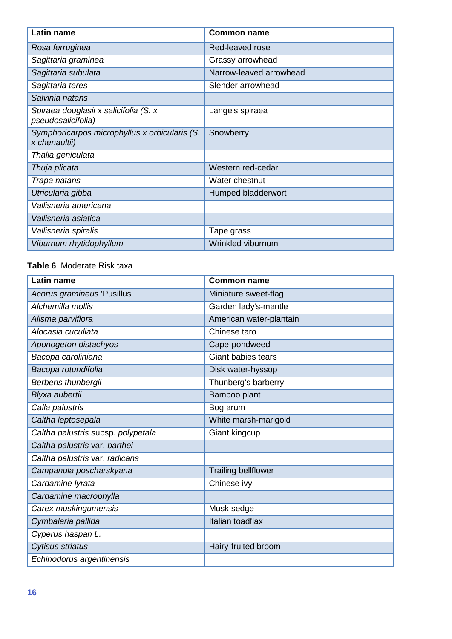| <b>Latin name</b>                                              | <b>Common name</b>      |
|----------------------------------------------------------------|-------------------------|
| Rosa ferruginea                                                | Red-leaved rose         |
| Sagittaria graminea                                            | Grassy arrowhead        |
| Sagittaria subulata                                            | Narrow-leaved arrowhead |
| Sagittaria teres                                               | Slender arrowhead       |
| Salvinia natans                                                |                         |
| Spiraea douglasii x salicifolia (S. x<br>pseudosalicifolia)    | Lange's spiraea         |
| Symphoricarpos microphyllus x orbicularis (S.<br>x chenaultii) | Snowberry               |
| Thalia geniculata                                              |                         |
| Thuja plicata                                                  | Western red-cedar       |
| Trapa natans                                                   | Water chestnut          |
| Utricularia gibba                                              | Humped bladderwort      |
| Vallisneria americana                                          |                         |
| Vallisneria asiatica                                           |                         |
| Vallisneria spiralis                                           | Tape grass              |
| Viburnum rhytidophyllum                                        | Wrinkled viburnum       |

#### <span id="page-25-0"></span>**Table 6** Moderate Risk taxa

| <b>Latin name</b>                  | <b>Common name</b>         |
|------------------------------------|----------------------------|
| Acorus gramineus 'Pusillus'        | Miniature sweet-flag       |
| Alchemilla mollis                  | Garden lady's-mantle       |
| Alisma parviflora                  | American water-plantain    |
| Alocasia cucullata                 | Chinese taro               |
| Aponogeton distachyos              | Cape-pondweed              |
| Bacopa caroliniana                 | <b>Giant babies tears</b>  |
| Bacopa rotundifolia                | Disk water-hyssop          |
| Berberis thunbergii                | Thunberg's barberry        |
| Blyxa aubertii                     | Bamboo plant               |
| Calla palustris                    | Bog arum                   |
| Caltha leptosepala                 | White marsh-marigold       |
| Caltha palustris subsp. polypetala | Giant kingcup              |
| Caltha palustris var. barthei      |                            |
| Caltha palustris var. radicans     |                            |
| Campanula poscharskyana            | <b>Trailing bellflower</b> |
| Cardamine lyrata                   | Chinese ivy                |
| Cardamine macrophylla              |                            |
| Carex muskingumensis               | Musk sedge                 |
| Cymbalaria pallida                 | Italian toadflax           |
| Cyperus haspan L.                  |                            |
| Cytisus striatus                   | Hairy-fruited broom        |
| Echinodorus argentinensis          |                            |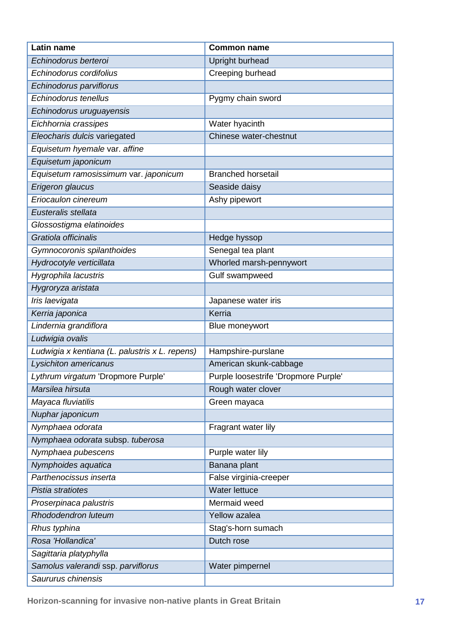| Latin name                                     | <b>Common name</b>                   |
|------------------------------------------------|--------------------------------------|
| Echinodorus berteroi                           | Upright burhead                      |
| Echinodorus cordifolius                        | Creeping burhead                     |
| Echinodorus parviflorus                        |                                      |
| Echinodorus tenellus                           | Pygmy chain sword                    |
| Echinodorus uruguayensis                       |                                      |
| Eichhornia crassipes                           | Water hyacinth                       |
| Eleocharis dulcis variegated                   | Chinese water-chestnut               |
| Equisetum hyemale var. affine                  |                                      |
| Equisetum japonicum                            |                                      |
| Equisetum ramosissimum var. japonicum          | <b>Branched horsetail</b>            |
| Erigeron glaucus                               | Seaside daisy                        |
| Eriocaulon cinereum                            | Ashy pipewort                        |
| Eusteralis stellata                            |                                      |
| Glossostigma elatinoides                       |                                      |
| Gratiola officinalis                           | Hedge hyssop                         |
| Gymnocoronis spilanthoides                     | Senegal tea plant                    |
| Hydrocotyle verticillata                       | Whorled marsh-pennywort              |
| Hygrophila lacustris                           | Gulf swampweed                       |
| Hygroryza aristata                             |                                      |
| Iris laevigata                                 | Japanese water iris                  |
| Kerria japonica                                | Kerria                               |
| Lindernia grandiflora                          | Blue moneywort                       |
| Ludwigia ovalis                                |                                      |
| Ludwigia x kentiana (L. palustris x L. repens) | Hampshire-purslane                   |
| Lysichiton americanus                          | American skunk-cabbage               |
| Lythrum virgatum 'Dropmore Purple'             | Purple loosestrife 'Dropmore Purple' |
| Marsilea hirsuta                               | Rough water clover                   |
| Mayaca fluviatilis                             | Green mayaca                         |
| Nuphar japonicum                               |                                      |
| Nymphaea odorata                               | Fragrant water lily                  |
| Nymphaea odorata subsp. tuberosa               |                                      |
| Nymphaea pubescens                             | Purple water lily                    |
| Nymphoides aquatica                            | Banana plant                         |
| Parthenocissus inserta                         | False virginia-creeper               |
| Pistia stratiotes                              | <b>Water lettuce</b>                 |
| Proserpinaca palustris                         | Mermaid weed                         |
| Rhododendron luteum                            | Yellow azalea                        |
| Rhus typhina                                   | Stag's-horn sumach                   |
| Rosa 'Hollandica'                              | Dutch rose                           |
| Sagittaria platyphylla                         |                                      |
| Samolus valerandi ssp. parviflorus             | Water pimpernel                      |
| Saururus chinensis                             |                                      |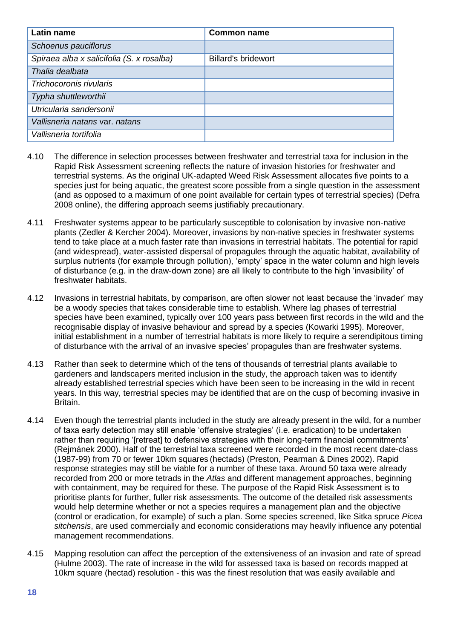| <b>Latin name</b>                         | <b>Common name</b>         |
|-------------------------------------------|----------------------------|
| Schoenus pauciflorus                      |                            |
| Spiraea alba x salicifolia (S. x rosalba) | <b>Billard's bridewort</b> |
| Thalia dealbata                           |                            |
| Trichocoronis rivularis                   |                            |
| Typha shuttleworthii                      |                            |
| Utricularia sandersonii                   |                            |
| Vallisneria natans var, natans            |                            |
| Vallisneria tortifolia                    |                            |

- 4.10 The difference in selection processes between freshwater and terrestrial taxa for inclusion in the Rapid Risk Assessment screening reflects the nature of invasion histories for freshwater and terrestrial systems. As the original UK-adapted Weed Risk Assessment allocates five points to a species just for being aquatic, the greatest score possible from a single question in the assessment (and as opposed to a maximum of one point available for certain types of terrestrial species) (Defra 2008 online), the differing approach seems justifiably precautionary.
- 4.11 Freshwater systems appear to be particularly susceptible to colonisation by invasive non-native plants (Zedler & Kercher 2004). Moreover, invasions by non-native species in freshwater systems tend to take place at a much faster rate than invasions in terrestrial habitats. The potential for rapid (and widespread), water-assisted dispersal of propagules through the aquatic habitat, availability of surplus nutrients (for example through pollution), 'empty' space in the water column and high levels of disturbance (e.g. in the draw-down zone) are all likely to contribute to the high 'invasibility' of freshwater habitats.
- 4.12 Invasions in terrestrial habitats, by comparison, are often slower not least because the 'invader' may be a woody species that takes considerable time to establish. Where lag phases of terrestrial species have been examined, typically over 100 years pass between first records in the wild and the recognisable display of invasive behaviour and spread by a species (Kowarki 1995). Moreover, initial establishment in a number of terrestrial habitats is more likely to require a serendipitous timing of disturbance with the arrival of an invasive species' propagules than are freshwater systems.
- 4.13 Rather than seek to determine which of the tens of thousands of terrestrial plants available to gardeners and landscapers merited inclusion in the study, the approach taken was to identify already established terrestrial species which have been seen to be increasing in the wild in recent years. In this way, terrestrial species may be identified that are on the cusp of becoming invasive in Britain.
- 4.14 Even though the terrestrial plants included in the study are already present in the wild, for a number of taxa early detection may still enable 'offensive strategies' (i.e. eradication) to be undertaken rather than requiring '[retreat] to defensive strategies with their long-term financial commitments' (Rejmánek 2000). Half of the terrestrial taxa screened were recorded in the most recent date-class (1987-99) from 70 or fewer 10km squares (hectads) (Preston, Pearman & Dines 2002). Rapid response strategies may still be viable for a number of these taxa. Around 50 taxa were already recorded from 200 or more tetrads in the *Atlas* and different management approaches, beginning with containment, may be required for these. The purpose of the Rapid Risk Assessment is to prioritise plants for further, fuller risk assessments. The outcome of the detailed risk assessments would help determine whether or not a species requires a management plan and the objective (control or eradication, for example) of such a plan. Some species screened, like Sitka spruce *Picea sitchensis*, are used commercially and economic considerations may heavily influence any potential management recommendations.
- 4.15 Mapping resolution can affect the perception of the extensiveness of an invasion and rate of spread (Hulme 2003). The rate of increase in the wild for assessed taxa is based on records mapped at 10km square (hectad) resolution - this was the finest resolution that was easily available and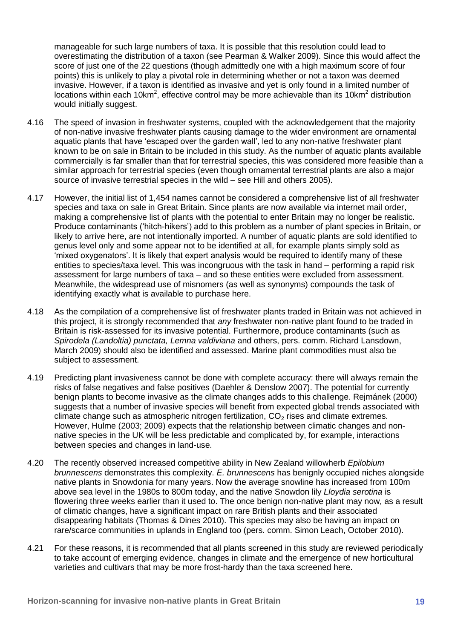manageable for such large numbers of taxa. It is possible that this resolution could lead to overestimating the distribution of a taxon (see Pearman & Walker 2009). Since this would affect the score of just one of the 22 questions (though admittedly one with a high maximum score of four points) this is unlikely to play a pivotal role in determining whether or not a taxon was deemed invasive. However, if a taxon is identified as invasive and yet is only found in a limited number of locations within each 10km<sup>2</sup>, effective control may be more achievable than its 10km<sup>2</sup> distribution would initially suggest.

- 4.16 The speed of invasion in freshwater systems, coupled with the acknowledgement that the majority of non-native invasive freshwater plants causing damage to the wider environment are ornamental aquatic plants that have 'escaped over the garden wall', led to any non-native freshwater plant known to be on sale in Britain to be included in this study. As the number of aquatic plants available commercially is far smaller than that for terrestrial species, this was considered more feasible than a similar approach for terrestrial species (even though ornamental terrestrial plants are also a major source of invasive terrestrial species in the wild – see Hill and others 2005).
- 4.17 However, the initial list of 1,454 names cannot be considered a comprehensive list of all freshwater species and taxa on sale in Great Britain. Since plants are now available via internet mail order, making a comprehensive list of plants with the potential to enter Britain may no longer be realistic. Produce contaminants ('hitch-hikers') add to this problem as a number of plant species in Britain, or likely to arrive here, are not intentionally imported. A number of aquatic plants are sold identified to genus level only and some appear not to be identified at all, for example plants simply sold as 'mixed oxygenators'. It is likely that expert analysis would be required to identify many of these entities to species/taxa level. This was incongruous with the task in hand – performing a rapid risk assessment for large numbers of taxa – and so these entities were excluded from assessment. Meanwhile, the widespread use of misnomers (as well as synonyms) compounds the task of identifying exactly what is available to purchase here.
- 4.18 As the compilation of a comprehensive list of freshwater plants traded in Britain was not achieved in this project, it is strongly recommended that *any* freshwater non-native plant found to be traded in Britain is risk-assessed for its invasive potential. Furthermore, produce contaminants (such as *Spirodela (Landoltia) punctata, Lemna valdiviana* and others, pers. comm. Richard Lansdown, March 2009) should also be identified and assessed. Marine plant commodities must also be subject to assessment.
- 4.19 Predicting plant invasiveness cannot be done with complete accuracy: there will always remain the risks of false negatives and false positives (Daehler & Denslow 2007). The potential for currently benign plants to become invasive as the climate changes adds to this challenge. Rejmánek (2000) suggests that a number of invasive species will benefit from expected global trends associated with climate change such as atmospheric nitrogen fertilization,  $CO<sub>2</sub>$  rises and climate extremes. However, Hulme (2003; 2009) expects that the relationship between climatic changes and nonnative species in the UK will be less predictable and complicated by, for example, interactions between species and changes in land-use.
- 4.20 The recently observed increased competitive ability in New Zealand willowherb *Epilobium brunnescens* demonstrates this complexity. *E. brunnescens* has benignly occupied niches alongside native plants in Snowdonia for many years. Now the average snowline has increased from 100m above sea level in the 1980s to 800m today, and the native Snowdon lily *Lloydia serotina* is flowering three weeks earlier than it used to. The once benign non-native plant may now, as a result of climatic changes, have a significant impact on rare British plants and their associated disappearing habitats (Thomas & Dines 2010). This species may also be having an impact on rare/scarce communities in uplands in England too (pers. comm. Simon Leach, October 2010).
- 4.21 For these reasons, it is recommended that all plants screened in this study are reviewed periodically to take account of emerging evidence, changes in climate and the emergence of new horticultural varieties and cultivars that may be more frost-hardy than the taxa screened here.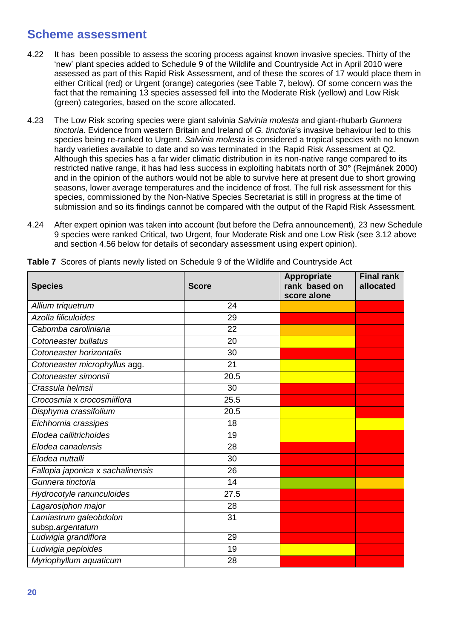### <span id="page-29-0"></span>**Scheme assessment**

- 4.22 It has been possible to assess the scoring process against known invasive species. Thirty of the 'new' plant species added to Schedule 9 of the Wildlife and Countryside Act in April 2010 were assessed as part of this Rapid Risk Assessment, and of these the scores of 17 would place them in either Critical (red) or Urgent (orange) categories (see Table 7, below). Of some concern was the fact that the remaining 13 species assessed fell into the Moderate Risk (yellow) and Low Risk (green) categories, based on the score allocated.
- 4.23 The Low Risk scoring species were giant salvinia *Salvinia molesta* and giant-rhubarb *Gunnera tinctoria*. Evidence from western Britain and Ireland of *G. tinctoria*'s invasive behaviour led to this species being re-ranked to Urgent. *Salvinia molesta* is considered a tropical species with no known hardy varieties available to date and so was terminated in the Rapid Risk Assessment at Q2. Although this species has a far wider climatic distribution in its non-native range compared to its restricted native range, it has had less success in exploiting habitats north of 30**°** (Rejmánek 2000) and in the opinion of the authors would not be able to survive here at present due to short growing seasons, lower average temperatures and the incidence of frost. The full risk assessment for this species, commissioned by the Non-Native Species Secretariat is still in progress at the time of submission and so its findings cannot be compared with the output of the Rapid Risk Assessment.
- 4.24 After expert opinion was taken into account (but before the Defra announcement), 23 new Schedule 9 species were ranked Critical, two Urgent, four Moderate Risk and one Low Risk (see 3.12 above and section 4.56 below for details of secondary assessment using expert opinion).

| <b>Species</b>                             | <b>Score</b> | Appropriate<br>rank based on<br>score alone | <b>Final rank</b><br>allocated |
|--------------------------------------------|--------------|---------------------------------------------|--------------------------------|
| Allium triquetrum                          | 24           |                                             |                                |
| Azolla filiculoides                        | 29           |                                             |                                |
| Cabomba caroliniana                        | 22           |                                             |                                |
| Cotoneaster bullatus                       | 20           |                                             |                                |
| Cotoneaster horizontalis                   | 30           |                                             |                                |
| Cotoneaster microphyllus agg.              | 21           |                                             |                                |
| Cotoneaster simonsii                       | 20.5         |                                             |                                |
| Crassula helmsii                           | 30           |                                             |                                |
| Crocosmia x crocosmiiflora                 | 25.5         |                                             |                                |
| Disphyma crassifolium                      | 20.5         |                                             |                                |
| Eichhornia crassipes                       | 18           |                                             |                                |
| Elodea callitrichoides                     | 19           |                                             |                                |
| Elodea canadensis                          | 28           |                                             |                                |
| Elodea nuttalli                            | 30           |                                             |                                |
| Fallopia japonica x sachalinensis          | 26           |                                             |                                |
| Gunnera tinctoria                          | 14           |                                             |                                |
| Hydrocotyle ranunculoides                  | 27.5         |                                             |                                |
| Lagarosiphon major                         | 28           |                                             |                                |
| Lamiastrum galeobdolon<br>subsp.argentatum | 31           |                                             |                                |
| Ludwigia grandiflora                       | 29           |                                             |                                |
| Ludwigia peploides                         | 19           |                                             |                                |
| Myriophyllum aquaticum                     | 28           |                                             |                                |

<span id="page-29-1"></span>**Table 7** Scores of plants newly listed on Schedule 9 of the Wildlife and Countryside Act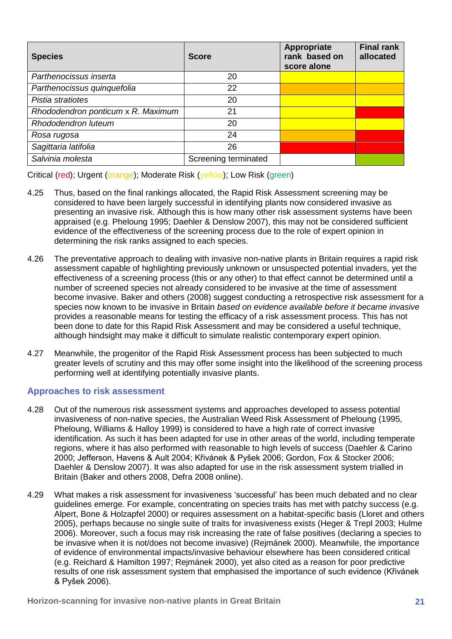| <b>Species</b>                     | <b>Score</b>         | Appropriate<br>rank based on<br>score alone | <b>Final rank</b><br>allocated |
|------------------------------------|----------------------|---------------------------------------------|--------------------------------|
| Parthenocissus inserta             | 20                   |                                             |                                |
| Parthenocissus quinquefolia        | 22                   |                                             |                                |
| Pistia stratiotes                  | 20                   |                                             |                                |
| Rhododendron ponticum x R. Maximum | 21                   |                                             |                                |
| Rhododendron luteum                | 20                   |                                             |                                |
| Rosa rugosa                        | 24                   |                                             |                                |
| Sagittaria latifolia               | 26                   |                                             |                                |
| Salvinia molesta                   | Screening terminated |                                             |                                |

Critical (red); Urgent (orange); Moderate Risk (yellow); Low Risk (green)

- 4.25 Thus, based on the final rankings allocated, the Rapid Risk Assessment screening may be considered to have been largely successful in identifying plants now considered invasive as presenting an invasive risk. Although this is how many other risk assessment systems have been appraised (e.g. Pheloung 1995; Daehler & Denslow 2007), this may not be considered sufficient evidence of the effectiveness of the screening process due to the role of expert opinion in determining the risk ranks assigned to each species.
- 4.26 The preventative approach to dealing with invasive non-native plants in Britain requires a rapid risk assessment capable of highlighting previously unknown or unsuspected potential invaders, yet the effectiveness of a screening process (this or any other) to that effect cannot be determined until a number of screened species not already considered to be invasive at the time of assessment become invasive. Baker and others (2008) suggest conducting a retrospective risk assessment for a species now known to be invasive in Britain *based on evidence available before it became invasive* provides a reasonable means for testing the efficacy of a risk assessment process. This has not been done to date for this Rapid Risk Assessment and may be considered a useful technique, although hindsight may make it difficult to simulate realistic contemporary expert opinion.
- 4.27 Meanwhile, the progenitor of the Rapid Risk Assessment process has been subjected to much greater levels of scrutiny and this may offer some insight into the likelihood of the screening process performing well at identifying potentially invasive plants.

#### **Approaches to risk assessment**

- 4.28 Out of the numerous risk assessment systems and approaches developed to assess potential invasiveness of non-native species, the Australian Weed Risk Assessment of Pheloung (1995, Pheloung, Williams & Halloy 1999) is considered to have a high rate of correct invasive identification. As such it has been adapted for use in other areas of the world, including temperate regions, where it has also performed with reasonable to high levels of success (Daehler & Carino 2000; Jefferson, Havens & Ault 2004; Křivánek & Pyšek 2006; Gordon, Fox & Stocker 2006; Daehler & Denslow 2007). It was also adapted for use in the risk assessment system trialled in Britain (Baker and others 2008, Defra 2008 online).
- 4.29 What makes a risk assessment for invasiveness 'successful' has been much debated and no clear guidelines emerge. For example, concentrating on species traits has met with patchy success (e.g. Alpert, Bone & Holzapfel 2000) or requires assessment on a habitat-specific basis (Lloret and others 2005), perhaps because no single suite of traits for invasiveness exists (Heger & Trepl 2003; Hulme 2006). Moreover, such a focus may risk increasing the rate of false positives (declaring a species to be invasive when it is not/does not become invasive) (Rejmánek 2000). Meanwhile, the importance of evidence of environmental impacts/invasive behaviour elsewhere has been considered critical (e.g. Reichard & Hamilton 1997; Rejmánek 2000), yet also cited as a reason for poor predictive results of one risk assessment system that emphasised the importance of such evidence (Křivánek & Pyšek 2006).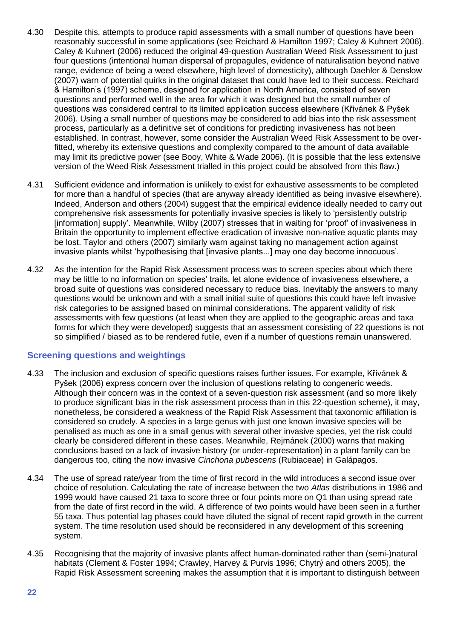- 4.30 Despite this, attempts to produce rapid assessments with a small number of questions have been reasonably successful in some applications (see Reichard & Hamilton 1997; Caley & Kuhnert 2006). Caley & Kuhnert (2006) reduced the original 49-question Australian Weed Risk Assessment to just four questions (intentional human dispersal of propagules, evidence of naturalisation beyond native range, evidence of being a weed elsewhere, high level of domesticity), although Daehler & Denslow (2007) warn of potential quirks in the original dataset that could have led to their success. Reichard & Hamilton's (1997) scheme, designed for application in North America, consisted of seven questions and performed well in the area for which it was designed but the small number of questions was considered central to its limited application success elsewhere (Křivánek & Pyšek 2006). Using a small number of questions may be considered to add bias into the risk assessment process, particularly as a definitive set of conditions for predicting invasiveness has not been established. In contrast, however, some consider the Australian Weed Risk Assessment to be overfitted, whereby its extensive questions and complexity compared to the amount of data available may limit its predictive power (see Booy, White & Wade 2006). (It is possible that the less extensive version of the Weed Risk Assessment trialled in this project could be absolved from this flaw.)
- 4.31 Sufficient evidence and information is unlikely to exist for exhaustive assessments to be completed for more than a handful of species (that are anyway already identified as being invasive elsewhere). Indeed, Anderson and others (2004) suggest that the empirical evidence ideally needed to carry out comprehensive risk assessments for potentially invasive species is likely to 'persistently outstrip [information] supply'. Meanwhile, Wilby (2007) stresses that in waiting for 'proof' of invasiveness in Britain the opportunity to implement effective eradication of invasive non-native aquatic plants may be lost. Taylor and others (2007) similarly warn against taking no management action against invasive plants whilst 'hypothesising that [invasive plants...] may one day become innocuous'.
- 4.32 As the intention for the Rapid Risk Assessment process was to screen species about which there may be little to no information on species' traits, let alone evidence of invasiveness elsewhere, a broad suite of questions was considered necessary to reduce bias. Inevitably the answers to many questions would be unknown and with a small initial suite of questions this could have left invasive risk categories to be assigned based on minimal considerations. The apparent validity of risk assessments with few questions (at least when they are applied to the geographic areas and taxa forms for which they were developed) suggests that an assessment consisting of 22 questions is not so simplified / biased as to be rendered futile, even if a number of questions remain unanswered.

#### **Screening questions and weightings**

- 4.33 The inclusion and exclusion of specific questions raises further issues. For example, Křivánek & Pyšek (2006) express concern over the inclusion of questions relating to congeneric weeds. Although their concern was in the context of a seven-question risk assessment (and so more likely to produce significant bias in the risk assessment process than in this 22-question scheme), it may, nonetheless, be considered a weakness of the Rapid Risk Assessment that taxonomic affiliation is considered so crudely. A species in a large genus with just one known invasive species will be penalised as much as one in a small genus with several other invasive species, yet the risk could clearly be considered different in these cases. Meanwhile, Rejmánek (2000) warns that making conclusions based on a lack of invasive history (or under-representation) in a plant family can be dangerous too, citing the now invasive *Cinchona pubescens* (Rubiaceae) in Galápagos.
- 4.34 The use of spread rate/year from the time of first record in the wild introduces a second issue over choice of resolution. Calculating the rate of increase between the two *Atlas* distributions in 1986 and 1999 would have caused 21 taxa to score three or four points more on Q1 than using spread rate from the date of first record in the wild. A difference of two points would have been seen in a further 55 taxa. Thus potential lag phases could have diluted the signal of recent rapid growth in the current system. The time resolution used should be reconsidered in any development of this screening system.
- 4.35 Recognising that the majority of invasive plants affect human-dominated rather than (semi-)natural habitats (Clement & Foster 1994; Crawley, Harvey & Purvis 1996; Chytrý and others 2005), the Rapid Risk Assessment screening makes the assumption that it is important to distinguish between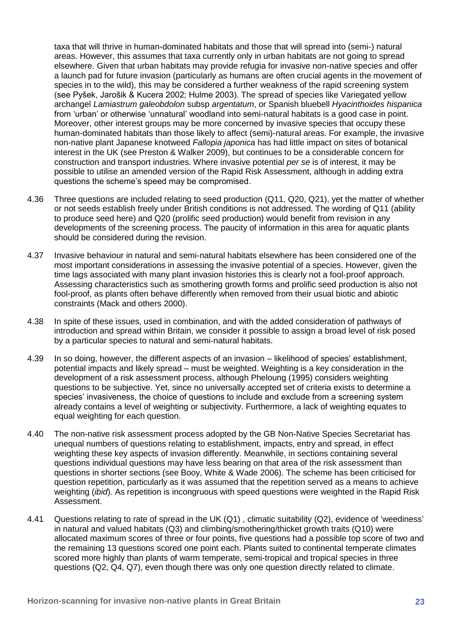taxa that will thrive in human-dominated habitats and those that will spread into (semi-) natural areas. However, this assumes that taxa currently only in urban habitats are not going to spread elsewhere. Given that urban habitats may provide refugia for invasive non-native species and offer a launch pad for future invasion (particularly as humans are often crucial agents in the movement of species in to the wild), this may be considered a further weakness of the rapid screening system (see Pyšek, Jarošik & Kucera 2002; Hulme 2003). The spread of species like Variegated yellow archangel *Lamiastrum galeobdolon* subsp *argentatum*, or Spanish bluebell *Hyacinthoides hispanica*  from 'urban' or otherwise 'unnatural' woodland into semi-natural habitats is a good case in point. Moreover, other interest groups may be more concerned by invasive species that occupy these human-dominated habitats than those likely to affect (semi)-natural areas. For example, the invasive non-native plant Japanese knotweed *Fallopia japonica* has had little impact on sites of botanical interest in the UK (see Preston & Walker 2009), but continues to be a considerable concern for construction and transport industries. Where invasive potential *per se* is of interest, it may be possible to utilise an amended version of the Rapid Risk Assessment, although in adding extra questions the scheme's speed may be compromised.

- 4.36 Three questions are included relating to seed production (Q11, Q20, Q21), yet the matter of whether or not seeds establish freely under British conditions is not addressed. The wording of Q11 (ability to produce seed here) and Q20 (prolific seed production) would benefit from revision in any developments of the screening process. The paucity of information in this area for aquatic plants should be considered during the revision.
- 4.37 Invasive behaviour in natural and semi-natural habitats elsewhere has been considered one of the most important considerations in assessing the invasive potential of a species. However, given the time lags associated with many plant invasion histories this is clearly not a fool-proof approach. Assessing characteristics such as smothering growth forms and prolific seed production is also not fool-proof, as plants often behave differently when removed from their usual biotic and abiotic constraints (Mack and others 2000).
- 4.38 In spite of these issues, used in combination, and with the added consideration of pathways of introduction and spread within Britain, we consider it possible to assign a broad level of risk posed by a particular species to natural and semi-natural habitats.
- 4.39 In so doing, however, the different aspects of an invasion likelihood of species' establishment, potential impacts and likely spread – must be weighted. Weighting is a key consideration in the development of a risk assessment process, although Pheloung (1995) considers weighting questions to be subjective. Yet, since no universally accepted set of criteria exists to determine a species' invasiveness, the choice of questions to include and exclude from a screening system already contains a level of weighting or subjectivity. Furthermore, a lack of weighting equates to equal weighting for each question.
- 4.40 The non-native risk assessment process adopted by the GB Non-Native Species Secretariat has unequal numbers of questions relating to establishment, impacts, entry and spread, in effect weighting these key aspects of invasion differently. Meanwhile, in sections containing several questions individual questions may have less bearing on that area of the risk assessment than questions in shorter sections (see Booy, White & Wade 2006). The scheme has been criticised for question repetition, particularly as it was assumed that the repetition served as a means to achieve weighting (*ibid*). As repetition is incongruous with speed questions were weighted in the Rapid Risk Assessment.
- 4.41 Questions relating to rate of spread in the UK (Q1) , climatic suitability (Q2), evidence of 'weediness' in natural and valued habitats (Q3) and climbing/smothering/thicket growth traits (Q10) were allocated maximum scores of three or four points, five questions had a possible top score of two and the remaining 13 questions scored one point each. Plants suited to continental temperate climates scored more highly than plants of warm temperate, semi-tropical and tropical species in three questions (Q2, Q4, Q7), even though there was only one question directly related to climate.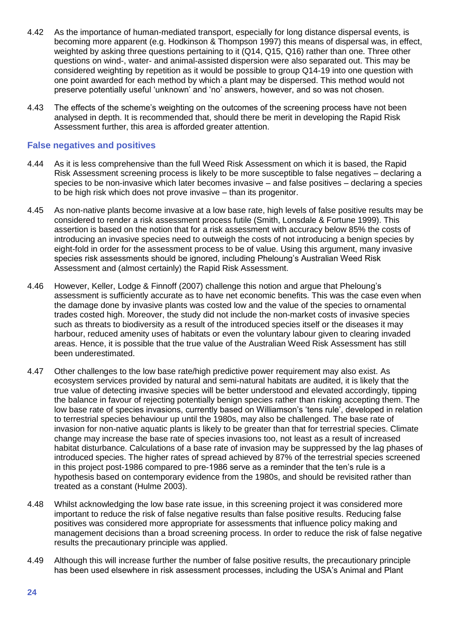- 4.42 As the importance of human-mediated transport, especially for long distance dispersal events, is becoming more apparent (e.g. Hodkinson & Thompson 1997) this means of dispersal was, in effect, weighted by asking three questions pertaining to it (Q14, Q15, Q16) rather than one. Three other questions on wind-, water- and animal-assisted dispersion were also separated out. This may be considered weighting by repetition as it would be possible to group Q14-19 into one question with one point awarded for each method by which a plant may be dispersed. This method would not preserve potentially useful 'unknown' and 'no' answers, however, and so was not chosen.
- 4.43 The effects of the scheme's weighting on the outcomes of the screening process have not been analysed in depth. It is recommended that, should there be merit in developing the Rapid Risk Assessment further, this area is afforded greater attention.

#### **False negatives and positives**

- 4.44 As it is less comprehensive than the full Weed Risk Assessment on which it is based, the Rapid Risk Assessment screening process is likely to be more susceptible to false negatives – declaring a species to be non-invasive which later becomes invasive – and false positives – declaring a species to be high risk which does not prove invasive – than its progenitor.
- 4.45 As non-native plants become invasive at a low base rate, high levels of false positive results may be considered to render a risk assessment process futile (Smith, Lonsdale & Fortune 1999). This assertion is based on the notion that for a risk assessment with accuracy below 85% the costs of introducing an invasive species need to outweigh the costs of not introducing a benign species by eight-fold in order for the assessment process to be of value. Using this argument, many invasive species risk assessments should be ignored, including Pheloung's Australian Weed Risk Assessment and (almost certainly) the Rapid Risk Assessment.
- 4.46 However, Keller, Lodge & Finnoff (2007) challenge this notion and argue that Pheloung's assessment is sufficiently accurate as to have net economic benefits. This was the case even when the damage done by invasive plants was costed low and the value of the species to ornamental trades costed high. Moreover, the study did not include the non-market costs of invasive species such as threats to biodiversity as a result of the introduced species itself or the diseases it may harbour, reduced amenity uses of habitats or even the voluntary labour given to clearing invaded areas. Hence, it is possible that the true value of the Australian Weed Risk Assessment has still been underestimated.
- 4.47 Other challenges to the low base rate/high predictive power requirement may also exist. As ecosystem services provided by natural and semi-natural habitats are audited, it is likely that the true value of detecting invasive species will be better understood and elevated accordingly, tipping the balance in favour of rejecting potentially benign species rather than risking accepting them. The low base rate of species invasions, currently based on Williamson's 'tens rule', developed in relation to terrestrial species behaviour up until the 1980s, may also be challenged. The base rate of invasion for non-native aquatic plants is likely to be greater than that for terrestrial species. Climate change may increase the base rate of species invasions too, not least as a result of increased habitat disturbance. Calculations of a base rate of invasion may be suppressed by the lag phases of introduced species. The higher rates of spread achieved by 87% of the terrestrial species screened in this project post-1986 compared to pre-1986 serve as a reminder that the ten's rule is a hypothesis based on contemporary evidence from the 1980s, and should be revisited rather than treated as a constant (Hulme 2003).
- 4.48 Whilst acknowledging the low base rate issue, in this screening project it was considered more important to reduce the risk of false negative results than false positive results. Reducing false positives was considered more appropriate for assessments that influence policy making and management decisions than a broad screening process. In order to reduce the risk of false negative results the precautionary principle was applied.
- 4.49 Although this will increase further the number of false positive results, the precautionary principle has been used elsewhere in risk assessment processes, including the USA's Animal and Plant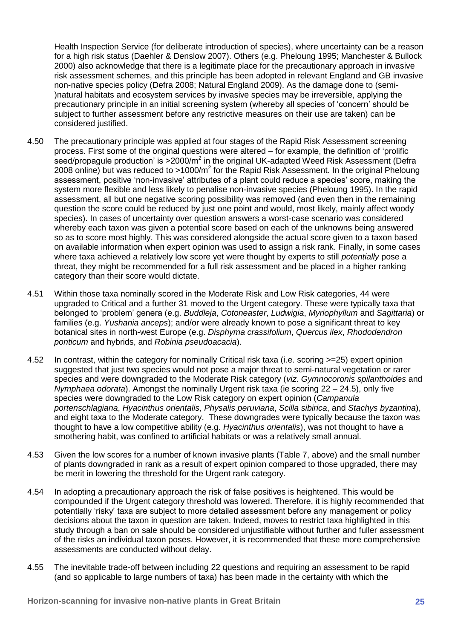Health Inspection Service (for deliberate introduction of species), where uncertainty can be a reason for a high risk status (Daehler & Denslow 2007). Others (e.g. Pheloung 1995; Manchester & Bullock 2000) also acknowledge that there is a legitimate place for the precautionary approach in invasive risk assessment schemes, and this principle has been adopted in relevant England and GB invasive non-native species policy (Defra 2008; Natural England 2009). As the damage done to (semi- )natural habitats and ecosystem services by invasive species may be irreversible, applying the precautionary principle in an initial screening system (whereby all species of 'concern' should be subject to further assessment before any restrictive measures on their use are taken) can be considered justified.

- 4.50 The precautionary principle was applied at four stages of the Rapid Risk Assessment screening process. First some of the original questions were altered – for example, the definition of 'prolific seed/propagule production' is >2000/m<sup>2</sup> in the original UK-adapted Weed Risk Assessment (Defra 2008 online) but was reduced to >1000/ $m^2$  for the Rapid Risk Assessment. In the original Pheloung assessment, positive 'non-invasive' attributes of a plant could reduce a species' score, making the system more flexible and less likely to penalise non-invasive species (Pheloung 1995). In the rapid assessment, all but one negative scoring possibility was removed (and even then in the remaining question the score could be reduced by just one point and would, most likely, mainly affect woody species). In cases of uncertainty over question answers a worst-case scenario was considered whereby each taxon was given a potential score based on each of the unknowns being answered so as to score most highly. This was considered alongside the actual score given to a taxon based on available information when expert opinion was used to assign a risk rank. Finally, in some cases where taxa achieved a relatively low score yet were thought by experts to still *potentially* pose a threat, they might be recommended for a full risk assessment and be placed in a higher ranking category than their score would dictate.
- 4.51 Within those taxa nominally scored in the Moderate Risk and Low Risk categories, 44 were upgraded to Critical and a further 31 moved to the Urgent category. These were typically taxa that belonged to 'problem' genera (e.g. *Buddleja*, *Cotoneaster*, *Ludwigia*, *Myriophyllum* and *Sagittaria*) or families (e.g. *Yushania anceps*); and/or were already known to pose a significant threat to key botanical sites in north-west Europe (e.g. *Disphyma crassifolium*, *Quercus ilex*, *Rhododendron ponticum* and hybrids, and *Robinia pseudoacacia*).
- 4.52 In contrast, within the category for nominally Critical risk taxa (i.e. scoring >=25) expert opinion suggested that just two species would not pose a major threat to semi-natural vegetation or rarer species and were downgraded to the Moderate Risk category (*viz*. *Gymnocoronis spilanthoides* and *Nymphaea odorata*). Amongst the nominally Urgent risk taxa (ie scoring 22 – 24.5), only five species were downgraded to the Low Risk category on expert opinion (*Campanula portenschlagiana*, *Hyacinthus orientalis*, *Physalis peruviana*, *Scilla sibirica*, and *Stachys byzantina*), and eight taxa to the Moderate category. These downgrades were typically because the taxon was thought to have a low competitive ability (e.g. *Hyacinthus orientalis*), was not thought to have a smothering habit, was confined to artificial habitats or was a relatively small annual.
- 4.53 Given the low scores for a number of known invasive plants (Table 7, above) and the small number of plants downgraded in rank as a result of expert opinion compared to those upgraded, there may be merit in lowering the threshold for the Urgent rank category.
- 4.54 In adopting a precautionary approach the risk of false positives is heightened. This would be compounded if the Urgent category threshold was lowered. Therefore, it is highly recommended that potentially 'risky' taxa are subject to more detailed assessment before any management or policy decisions about the taxon in question are taken. Indeed, moves to restrict taxa highlighted in this study through a ban on sale should be considered unjustifiable without further and fuller assessment of the risks an individual taxon poses. However, it is recommended that these more comprehensive assessments are conducted without delay.
- 4.55 The inevitable trade-off between including 22 questions and requiring an assessment to be rapid (and so applicable to large numbers of taxa) has been made in the certainty with which the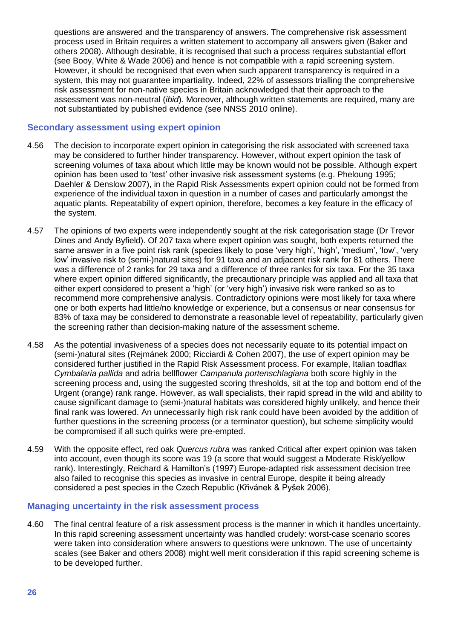questions are answered and the transparency of answers. The comprehensive risk assessment process used in Britain requires a written statement to accompany all answers given (Baker and others 2008). Although desirable, it is recognised that such a process requires substantial effort (see Booy, White & Wade 2006) and hence is not compatible with a rapid screening system. However, it should be recognised that even when such apparent transparency is required in a system, this may not guarantee impartiality. Indeed, 22% of assessors trialling the comprehensive risk assessment for non-native species in Britain acknowledged that their approach to the assessment was non-neutral (*ibid*). Moreover, although written statements are required, many are not substantiated by published evidence (see NNSS 2010 online).

#### **Secondary assessment using expert opinion**

- 4.56 The decision to incorporate expert opinion in categorising the risk associated with screened taxa may be considered to further hinder transparency. However, without expert opinion the task of screening volumes of taxa about which little may be known would not be possible. Although expert opinion has been used to 'test' other invasive risk assessment systems (e.g. Pheloung 1995; Daehler & Denslow 2007), in the Rapid Risk Assessments expert opinion could not be formed from experience of the individual taxon in question in a number of cases and particularly amongst the aquatic plants. Repeatability of expert opinion, therefore, becomes a key feature in the efficacy of the system.
- 4.57 The opinions of two experts were independently sought at the risk categorisation stage (Dr Trevor Dines and Andy Byfield). Of 207 taxa where expert opinion was sought, both experts returned the same answer in a five point risk rank (species likely to pose 'very high', 'high', 'medium', 'low', 'very low' invasive risk to (semi-)natural sites) for 91 taxa and an adjacent risk rank for 81 others. There was a difference of 2 ranks for 29 taxa and a difference of three ranks for six taxa. For the 35 taxa where expert opinion differed significantly, the precautionary principle was applied and all taxa that either expert considered to present a 'high' (or 'very high') invasive risk were ranked so as to recommend more comprehensive analysis. Contradictory opinions were most likely for taxa where one or both experts had little/no knowledge or experience, but a consensus or near consensus for 83% of taxa may be considered to demonstrate a reasonable level of repeatability, particularly given the screening rather than decision-making nature of the assessment scheme.
- 4.58 As the potential invasiveness of a species does not necessarily equate to its potential impact on (semi-)natural sites (Rejmánek 2000; Ricciardi & Cohen 2007), the use of expert opinion may be considered further justified in the Rapid Risk Assessment process. For example, Italian toadflax *Cymbalaria pallida* and adria bellflower *Campanula portenschlagiana* both score highly in the screening process and, using the suggested scoring thresholds, sit at the top and bottom end of the Urgent (orange) rank range. However, as wall specialists, their rapid spread in the wild and ability to cause significant damage to (semi-)natural habitats was considered highly unlikely, and hence their final rank was lowered. An unnecessarily high risk rank could have been avoided by the addition of further questions in the screening process (or a terminator question), but scheme simplicity would be compromised if all such quirks were pre-empted.
- 4.59 With the opposite effect, red oak *Quercus rubra* was ranked Critical after expert opinion was taken into account, even though its score was 19 (a score that would suggest a Moderate Risk/yellow rank). Interestingly, Reichard & Hamilton's (1997) Europe-adapted risk assessment decision tree also failed to recognise this species as invasive in central Europe, despite it being already considered a pest species in the Czech Republic (Křivánek & Pyšek 2006).

#### **Managing uncertainty in the risk assessment process**

4.60 The final central feature of a risk assessment process is the manner in which it handles uncertainty. In this rapid screening assessment uncertainty was handled crudely: worst-case scenario scores were taken into consideration where answers to questions were unknown. The use of uncertainty scales (see Baker and others 2008) might well merit consideration if this rapid screening scheme is to be developed further.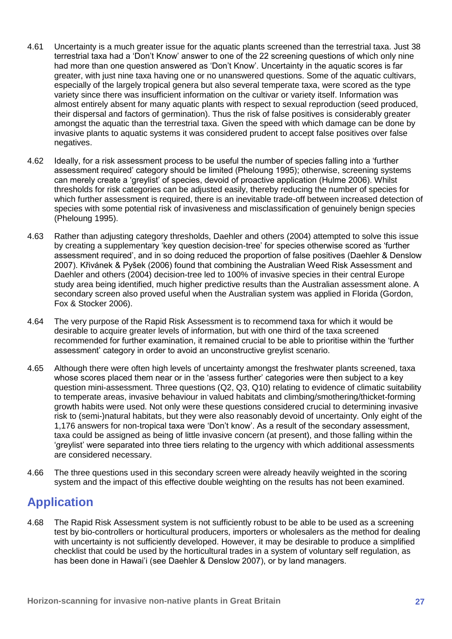- 4.61 Uncertainty is a much greater issue for the aquatic plants screened than the terrestrial taxa. Just 38 terrestrial taxa had a 'Don't Know' answer to one of the 22 screening questions of which only nine had more than one question answered as 'Don't Know'. Uncertainty in the aquatic scores is far greater, with just nine taxa having one or no unanswered questions. Some of the aquatic cultivars, especially of the largely tropical genera but also several temperate taxa, were scored as the type variety since there was insufficient information on the cultivar or variety itself. Information was almost entirely absent for many aquatic plants with respect to sexual reproduction (seed produced, their dispersal and factors of germination). Thus the risk of false positives is considerably greater amongst the aquatic than the terrestrial taxa. Given the speed with which damage can be done by invasive plants to aquatic systems it was considered prudent to accept false positives over false negatives.
- 4.62 Ideally, for a risk assessment process to be useful the number of species falling into a 'further assessment required' category should be limited (Pheloung 1995); otherwise, screening systems can merely create a 'greylist' of species, devoid of proactive application (Hulme 2006). Whilst thresholds for risk categories can be adjusted easily, thereby reducing the number of species for which further assessment is required, there is an inevitable trade-off between increased detection of species with some potential risk of invasiveness and misclassification of genuinely benign species (Pheloung 1995).
- 4.63 Rather than adjusting category thresholds, Daehler and others (2004) attempted to solve this issue by creating a supplementary 'key question decision-tree' for species otherwise scored as 'further assessment required', and in so doing reduced the proportion of false positives (Daehler & Denslow 2007). Křivánek & Pyšek (2006) found that combining the Australian Weed Risk Assessment and Daehler and others (2004) decision-tree led to 100% of invasive species in their central Europe study area being identified, much higher predictive results than the Australian assessment alone. A secondary screen also proved useful when the Australian system was applied in Florida (Gordon, Fox & Stocker 2006).
- 4.64 The very purpose of the Rapid Risk Assessment is to recommend taxa for which it would be desirable to acquire greater levels of information, but with one third of the taxa screened recommended for further examination, it remained crucial to be able to prioritise within the 'further assessment' category in order to avoid an unconstructive greylist scenario.
- 4.65 Although there were often high levels of uncertainty amongst the freshwater plants screened, taxa whose scores placed them near or in the 'assess further' categories were then subject to a key question mini-assessment. Three questions (Q2, Q3, Q10) relating to evidence of climatic suitability to temperate areas, invasive behaviour in valued habitats and climbing/smothering/thicket-forming growth habits were used. Not only were these questions considered crucial to determining invasive risk to (semi-)natural habitats, but they were also reasonably devoid of uncertainty. Only eight of the 1,176 answers for non-tropical taxa were 'Don't know'. As a result of the secondary assessment, taxa could be assigned as being of little invasive concern (at present), and those falling within the 'greylist' were separated into three tiers relating to the urgency with which additional assessments are considered necessary.
- 4.66 The three questions used in this secondary screen were already heavily weighted in the scoring system and the impact of this effective double weighting on the results has not been examined.

## <span id="page-36-0"></span>**Application**

4.68 The Rapid Risk Assessment system is not sufficiently robust to be able to be used as a screening test by bio-controllers or horticultural producers, importers or wholesalers as the method for dealing with uncertainty is not sufficiently developed. However, it may be desirable to produce a simplified checklist that could be used by the horticultural trades in a system of voluntary self regulation, as has been done in Hawai'i (see Daehler & Denslow 2007), or by land managers.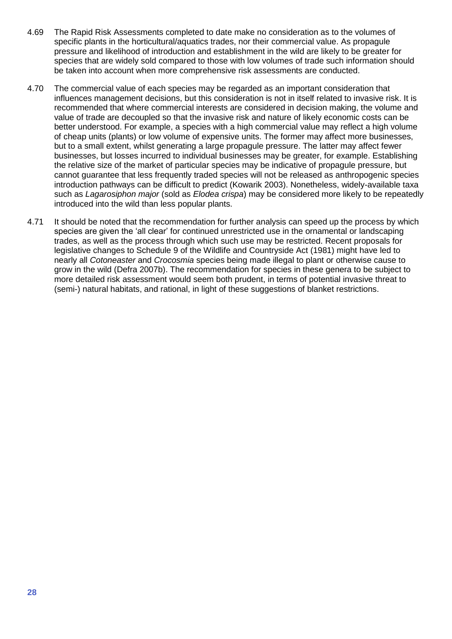- 4.69 The Rapid Risk Assessments completed to date make no consideration as to the volumes of specific plants in the horticultural/aquatics trades, nor their commercial value. As propagule pressure and likelihood of introduction and establishment in the wild are likely to be greater for species that are widely sold compared to those with low volumes of trade such information should be taken into account when more comprehensive risk assessments are conducted.
- 4.70 The commercial value of each species may be regarded as an important consideration that influences management decisions, but this consideration is not in itself related to invasive risk. It is recommended that where commercial interests are considered in decision making, the volume and value of trade are decoupled so that the invasive risk and nature of likely economic costs can be better understood. For example, a species with a high commercial value may reflect a high volume of cheap units (plants) or low volume of expensive units. The former may affect more businesses, but to a small extent, whilst generating a large propagule pressure. The latter may affect fewer businesses, but losses incurred to individual businesses may be greater, for example. Establishing the relative size of the market of particular species may be indicative of propagule pressure, but cannot guarantee that less frequently traded species will not be released as anthropogenic species introduction pathways can be difficult to predict (Kowarik 2003). Nonetheless, widely-available taxa such as *Lagarosiphon major* (sold as *Elodea crispa*) may be considered more likely to be repeatedly introduced into the wild than less popular plants.
- 4.71 It should be noted that the recommendation for further analysis can speed up the process by which species are given the 'all clear' for continued unrestricted use in the ornamental or landscaping trades, as well as the process through which such use may be restricted. Recent proposals for legislative changes to Schedule 9 of the Wildlife and Countryside Act (1981) might have led to nearly all *Cotoneaster* and *Crocosmia* species being made illegal to plant or otherwise cause to grow in the wild (Defra 2007b). The recommendation for species in these genera to be subject to more detailed risk assessment would seem both prudent, in terms of potential invasive threat to (semi-) natural habitats, and rational, in light of these suggestions of blanket restrictions.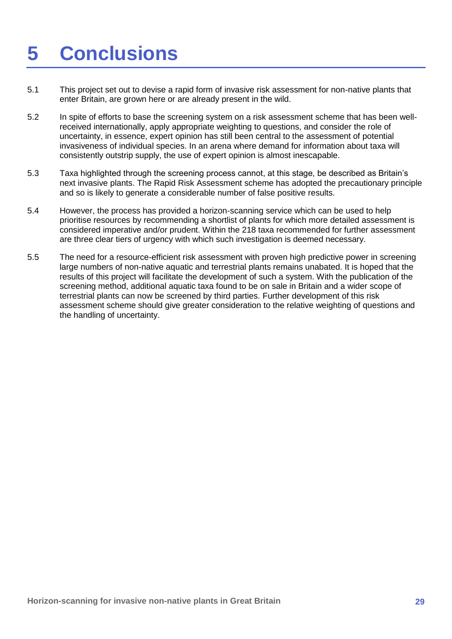# <span id="page-38-0"></span>**5 Conclusions**

- 5.1 This project set out to devise a rapid form of invasive risk assessment for non-native plants that enter Britain, are grown here or are already present in the wild.
- 5.2 In spite of efforts to base the screening system on a risk assessment scheme that has been wellreceived internationally, apply appropriate weighting to questions, and consider the role of uncertainty, in essence, expert opinion has still been central to the assessment of potential invasiveness of individual species. In an arena where demand for information about taxa will consistently outstrip supply, the use of expert opinion is almost inescapable.
- 5.3 Taxa highlighted through the screening process cannot, at this stage, be described as Britain's next invasive plants. The Rapid Risk Assessment scheme has adopted the precautionary principle and so is likely to generate a considerable number of false positive results.
- 5.4 However, the process has provided a horizon-scanning service which can be used to help prioritise resources by recommending a shortlist of plants for which more detailed assessment is considered imperative and/or prudent. Within the 218 taxa recommended for further assessment are three clear tiers of urgency with which such investigation is deemed necessary.
- 5.5 The need for a resource-efficient risk assessment with proven high predictive power in screening large numbers of non-native aquatic and terrestrial plants remains unabated. It is hoped that the results of this project will facilitate the development of such a system. With the publication of the screening method, additional aquatic taxa found to be on sale in Britain and a wider scope of terrestrial plants can now be screened by third parties. Further development of this risk assessment scheme should give greater consideration to the relative weighting of questions and the handling of uncertainty.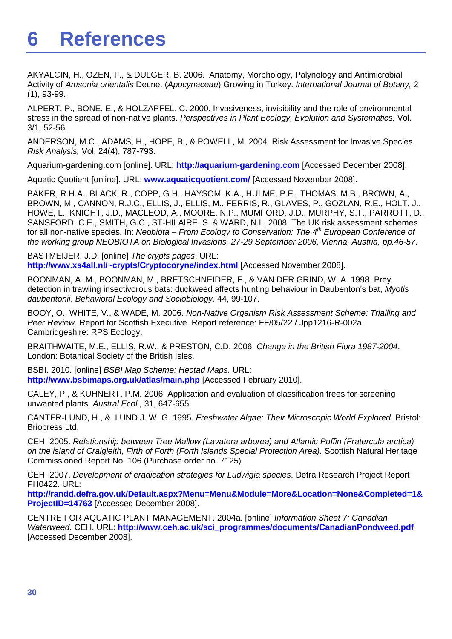## <span id="page-39-0"></span>**6 References**

AKYALCIN, H., OZEN, F., & [DULGER, B. 2006.](http://scialert.net/asci/author.php?author=Basaran%20Dulger&last=) Anatomy, Morphology, Palynology and Antimicrobial Activity of *Amsonia orientalis* Decne. (*Apocynaceae*) Growing in Turkey. *International Journal of Botany,* 2 (1), 93-99.

ALPERT, P., BONE, E., & HOLZAPFEL, C. 2000. Invasiveness, invisibility and the role of environmental stress in the spread of non-native plants. *Perspectives in Plant Ecology, Evolution and Systematics,* Vol. 3/1, 52-56.

ANDERSON, M.C., ADAMS, H., HOPE, B., & POWELL, M. 2004. Risk Assessment for Invasive Species. *Risk Analysis,* Vol. 24(4), 787-793.

Aquarium-gardening.com [online]. URL: **[http://aquarium-gardening.com](http://aquarium-gardening.com/)** [Accessed December 2008].

Aquatic Quotient [online]. URL: **[www.aquaticquotient.com/](http://www.aquaticquotient.com/)** [Accessed November 2008].

BAKER, R.H.A., BLACK, R., COPP, G.H., HAYSOM, K.A., HULME, P.E., THOMAS, M.B., BROWN, A., BROWN, M., CANNON, R.J.C., ELLIS, J., ELLIS, M., FERRIS, R., GLAVES, P., GOZLAN, R.E., HOLT, J., HOWE, L., KNIGHT, J.D., MACLEOD, A., MOORE, N.P., MUMFORD, J.D., MURPHY, S.T., PARROTT, D., SANSFORD, C.E., SMITH, G.C., ST-HILAIRE, S. & WARD, N.L. 2008. The UK risk assessment schemes for all non-native species. In: *Neobiota – From Ecology to Conservation: The 4th European Conference of the working group NEOBIOTA on Biological Invasions, 27-29 September 2006, Vienna, Austria, pp.46-57.*

BASTMEIJER, J.D. [online] *The crypts pages*. URL: **<http://www.xs4all.nl/~crypts/Cryptocoryne/index.html>** [Accessed November 2008].

BOONMAN, A. M., BOONMAN, M., BRETSCHNEIDER, F., & VAN DER GRIND, W. A. 1998. Prey detection in trawling insectivorous bats: duckweed affects hunting behaviour in Daubenton's bat, *Myotis daubentonii*. *Behavioral Ecology and Sociobiology.* 44, 99-107.

BOOY, O., WHITE, V., & WADE, M. 2006. *Non-Native Organism Risk Assessment Scheme: Trialling and Peer Review.* Report for Scottish Executive. Report reference: FF/05/22 / Jpp1216-R-002a. Cambridgeshire: RPS Ecology.

BRAITHWAITE, M.E., ELLIS, R.W., & PRESTON, C.D. 2006. *Change in the British Flora 1987-2004*. London: Botanical Society of the British Isles.

BSBI. 2010. [online] *BSBI Map Scheme: Hectad Maps.* URL: **<http://www.bsbimaps.org.uk/atlas/main.php>** [Accessed February 2010].

CALEY, P., & KUHNERT, P.M. 2006. Application and evaluation of classification trees for screening unwanted plants. *Austral Ecol.,* 31, 647-655.

CANTER-LUND, H., & LUND J. W. G. 1995. *Freshwater Algae: Their Microscopic World Explored*. Bristol: Briopress Ltd.

CEH. 2005. *Relationship between Tree Mallow (Lavatera arborea) and Atlantic Puffin (Fratercula arctica) on the island of Craigleith, Firth of Forth (Forth Islands Special Protection Area).* Scottish Natural Heritage Commissioned Report No. 106 (Purchase order no. 7125)

CEH. 2007. *Development of eradication strategies for Ludwigia species*. Defra Research Project Report PH0422. URL:

**[http://randd.defra.gov.uk/Default.aspx?Menu=Menu&Module=More&Location=None&Completed=1&](http://randd.defra.gov.uk/Default.aspx?Menu=Menu&Module=More&Location=None&Completed=1&ProjectID=14763) [ProjectID=14763](http://randd.defra.gov.uk/Default.aspx?Menu=Menu&Module=More&Location=None&Completed=1&ProjectID=14763)** [Accessed December 2008].

CENTRE FOR AQUATIC PLANT MANAGEMENT. 2004a. [online] *Information Sheet 7: Canadian Waterweed.* CEH. URL: **[http://www.ceh.ac.uk/sci\\_programmes/documents/CanadianPondweed.pdf](http://www.ceh.ac.uk/sci_programmes/documents/CanadianPondweed.pdf)** [Accessed December 2008].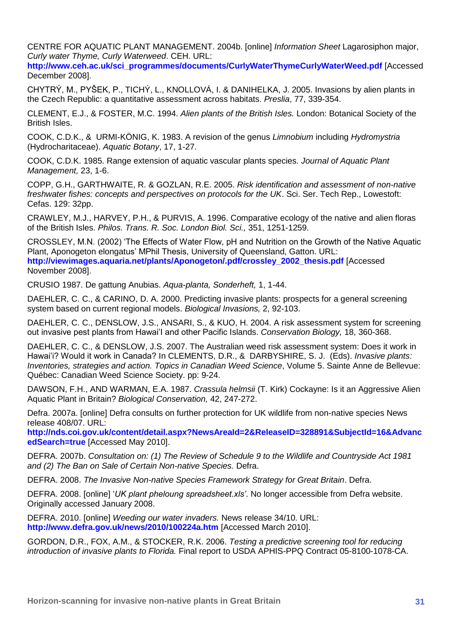CENTRE FOR AQUATIC PLANT MANAGEMENT. 2004b. [online] *Information Sheet* Lagarosiphon major, *Curly water Thyme, Curly Waterweed*. CEH. URL:

**[http://www.ceh.ac.uk/sci\\_programmes/documents/CurlyWaterThymeCurlyWaterWeed.pdf](http://www.ceh.ac.uk/sci_programmes/documents/CurlyWaterThymeCurlyWaterWeed.pdf)** [Accessed December 2008].

CHYTRÝ, M., PYŠEK, P., TICHÝ, L., KNOLLOVÁ, I. & DANIHELKA, J. 2005. Invasions by alien plants in the Czech Republic: a quantitative assessment across habitats. *Preslia*, 77, 339-354.

CLEMENT, E.J., & FOSTER, M.C. 1994. *Alien plants of the British Isles.* London: Botanical Society of the British Isles.

COOK, C.D.K., & URMI-KÖNIG, K. 1983. A revision of the genus *Limnobium* including *Hydromystria* (Hydrocharitaceae). *Aquatic Botany*, 17, 1-27.

COOK, C.D.K. 1985. Range extension of aquatic vascular plants species. *Journal of Aquatic Plant Management,* 23, 1-6.

COPP, G.H., GARTHWAITE, R. & GOZLAN, R.E. 2005. *Risk identification and assessment of non-native freshwater fishes: concepts and perspectives on protocols for the UK*. Sci. Ser. Tech Rep., Lowestoft: Cefas. 129: 32pp.

CRAWLEY, M.J., HARVEY, P.H., & PURVIS, A. 1996. Comparative ecology of the native and alien floras of the British Isles. *Philos. Trans. R. Soc. London Biol. Sci.,* 351, 1251-1259.

CROSSLEY, M.N. (2002) 'The Effects of Water Flow, pH and Nutrition on the Growth of the Native Aquatic Plant, Aponogeton elongatus' MPhil Thesis, University of Queensland, Gatton. URL: **[http://viewimages.aquaria.net/plants/Aponogeton/.pdf/crossley\\_2002\\_thesis.pdf](http://viewimages.aquaria.net/plants/Aponogeton/.pdf/crossley_2002_thesis.pdf)** [Accessed November 2008].

CRUSIO 1987. De gattung Anubias. *Aqua-planta, Sonderheft,* 1, 1-44.

DAEHLER, C. C., & CARINO, D. A. 2000. Predicting invasive plants: prospects for a general screening system based on current regional models. *Biological Invasions,* 2, 92-103.

DAEHLER, C. C., DENSLOW, J.S., ANSARI, S., & KUO, H. 2004. A risk assessment system for screening out invasive pest plants from Hawai'I and other Pacific Islands. *Conservation Biology,* 18, 360-368.

DAEHLER, C. C., & DENSLOW, J.S. 2007. The Australian weed risk assessment system: Does it work in Hawai'i? Would it work in Canada? In CLEMENTS, D.R., & DARBYSHIRE, S. J. (Eds). *Invasive plants: Inventories, strategies and action. Topics in Canadian Weed Science*, Volume 5. Sainte Anne de Bellevue: Québec: Canadian Weed Science Society. pp: 9-24.

DAWSON, F.H., AND WARMAN, E.A. 1987. *Crassula helmsii* (T. Kirk) Cockayne: Is it an Aggressive Alien Aquatic Plant in Britain? *Biological Conservation,* 42, 247-272.

Defra. 2007a. [online] Defra consults on further protection for UK wildlife from non-native species News release 408/07. URL:

**[http://nds.coi.gov.uk/content/detail.aspx?NewsAreaId=2&ReleaseID=328891&SubjectId=16&Advanc](http://nds.coi.gov.uk/content/detail.aspx?NewsAreaId=2&ReleaseID=328891&SubjectId=16&AdvancedSearch=true) [edSearch=true](http://nds.coi.gov.uk/content/detail.aspx?NewsAreaId=2&ReleaseID=328891&SubjectId=16&AdvancedSearch=true)** [Accessed May 2010].

DEFRA. 2007b. *Consultation on: (1) The Review of Schedule 9 to the Wildlife and Countryside Act 1981 and (2) The Ban on Sale of Certain Non-native Species.* Defra.

DEFRA. 2008. *The Invasive Non-native Species Framework Strategy for Great Britain*. Defra.

DEFRA. 2008. [online] '*UK plant pheloung spreadsheet.xls'*. No longer accessible from Defra website. Originally accessed January 2008.

DEFRA. 2010. [online] *Weeding our water invaders.* News release 34/10. URL: **<http://www.defra.gov.uk/news/2010/100224a.htm>** [Accessed March 2010].

GORDON, D.R., FOX, A.M., & STOCKER, R.K. 2006. *Testing a predictive screening tool for reducing introduction of invasive plants to Florida.* Final report to USDA APHIS-PPQ Contract 05-8100-1078-CA.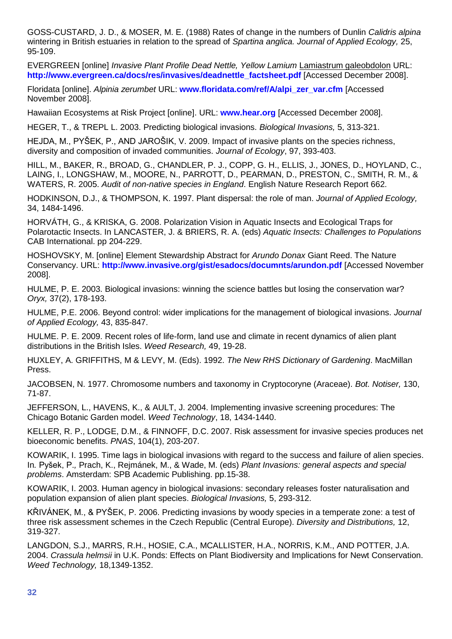GOSS-CUSTARD, J. D., & MOSER, M. E. (1988) Rates of change in the numbers of Dunlin *Calidris alpina*  wintering in British estuaries in relation to the spread of *Spartina anglica. Journal of Applied Ecology,* 25, 95-109.

EVERGREEN [online] *Invasive Plant Profile Dead Nettle, Yellow Lamium* Lamiastrum galeobdolon URL: **[http://www.evergreen.ca/docs/res/invasives/deadnettle\\_factsheet.pdf](http://www.evergreen.ca/docs/res/invasives/deadnettle_factsheet.pdf)** [Accessed December 2008].

Floridata [online]. *Alpinia zerumbet* URL: **[www.floridata.com/ref/A/alpi\\_zer\\_var.cfm](http://www.floridata.com/ref/A/alpi_zer_var.cfm)** [Accessed November 2008].

Hawaiian Ecosystems at Risk Project [online]. URL: **[www.hear.org](http://www.hear.org/)** [Accessed December 2008].

HEGER, T., & TREPL L. 2003. Predicting biological invasions. *Biological Invasions,* 5, 313-321.

HEJDA, M., PYŠEK, P., AND JAROŠIK, V. 2009. Impact of invasive plants on the species richness, diversity and composition of invaded communities. *Journal of Ecology*, 97, 393-403.

HILL, M., BAKER, R., BROAD, G., CHANDLER, P. J., COPP, G. H., ELLIS, J., JONES, D., HOYLAND, C., LAING, I., LONGSHAW, M., MOORE, N., PARROTT, D., PEARMAN, D., PRESTON, C., SMITH, R. M., & WATERS, R. 2005. *Audit of non-native species in England*. English Nature Research Report 662.

HODKINSON, D.J., & THOMPSON, K. 1997. Plant dispersal: the role of man. *Journal of Applied Ecology,* 34, 1484-1496.

HORVÁTH, G., & KRISKA, G. 2008. Polarization Vision in Aquatic Insects and Ecological Traps for Polarotactic Insects. In LANCASTER, J. & BRIERS, R. A. (eds) *Aquatic Insects: Challenges to Populations* CAB International. pp 204-229.

HOSHOVSKY, M. [online] Element Stewardship Abstract for *Arundo Donax* Giant Reed. The Nature Conservancy. URL: **<http://www.invasive.org/gist/esadocs/documnts/arundon.pdf>** [Accessed November 2008].

HULME, P. E. 2003. Biological invasions: winning the science battles but losing the conservation war? *Oryx,* 37(2), 178-193.

HULME, P.E. 2006. Beyond control: wider implications for the management of biological invasions. *Journal of Applied Ecology,* 43, 835-847.

HULME. P. E. 2009. Recent roles of life-form, land use and climate in recent dynamics of alien plant distributions in the British Isles. *Weed Research,* 49, 19-28.

HUXLEY, A. GRIFFITHS, M & LEVY, M. (Eds). 1992. *The New RHS Dictionary of Gardening*. MacMillan Press.

JACOBSEN, N. 1977. Chromosome numbers and taxonomy in Cryptocoryne (Araceae). *Bot. Notiser,* 130, 71-87.

JEFFERSON, L., HAVENS, K., & AULT, J. 2004. Implementing invasive screening procedures: The Chicago Botanic Garden model. *Weed Technology*, 18, 1434-1440.

KELLER, R. P., LODGE, D.M., & FINNOFF, D.C. 2007. Risk assessment for invasive species produces net bioeconomic benefits. *PNAS*, 104(1), 203-207.

KOWARIK, I. 1995. Time lags in biological invasions with regard to the success and failure of alien species. In*.* Pyšek, P.*,* Prach, K., Rejmánek, M., & Wade, M. (eds) *Plant Invasions: general aspects and special problems*. Amsterdam: SPB Academic Publishing. pp.15-38.

KOWARIK, I. 2003. Human agency in biological invasions: secondary releases foster naturalisation and population expansion of alien plant species. *Biological Invasions,* 5, 293-312.

KŘIVÁNEK, M., & PYŠEK, P. 2006. Predicting invasions by woody species in a temperate zone: a test of three risk assessment schemes in the Czech Republic (Central Europe). *Diversity and Distributions,* 12, 319-327.

LANGDON, S.J., MARRS, R.H., HOSIE, C.A., MCALLISTER, H.A., NORRIS, K.M., AND POTTER, J.A. 2004. *Crassula helmsii* in U.K. Ponds: Effects on Plant Biodiversity and Implications for Newt Conservation. *Weed Technology,* 18,1349-1352.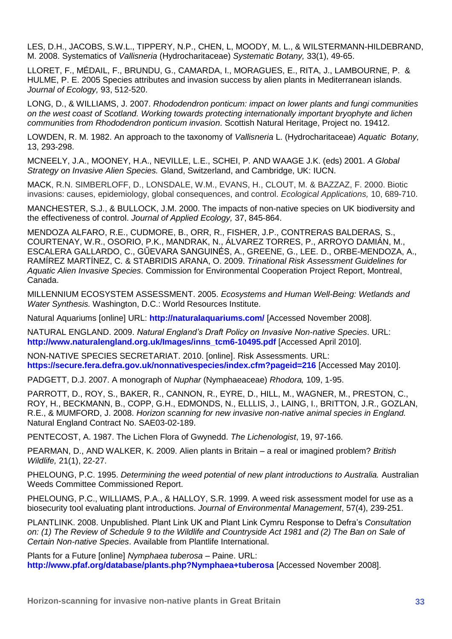LES, D.H., JACOBS, S.W.L., TIPPERY, N.P., CHEN, L, MOODY, M. L., & WILSTERMANN-HILDEBRAND, M. 2008. Systematics of *Vallisneria* (Hydrocharitaceae) *Systematic Botany,* 33(1), 49-65.

LLORET, F., MÉDAIL, F., BRUNDU, G., CAMARDA, I., MORAGUES, E., RITA, J., LAMBOURNE, P. & HULME, P. E. 2005 Species attributes and invasion success by alien plants in Mediterranean islands. *Journal of Ecology,* 93, 512-520.

LONG, D., & WILLIAMS, J. 2007. *Rhododendron ponticum: impact on lower plants and fungi communities on the west coast of Scotland. Working towards protecting internationally important bryophyte and lichen communities from Rhododendron ponticum invasion*. Scottish Natural Heritage, Project no. 19412.

LOWDEN, R. M. 1982. An approach to the taxonomy of *Vallisneria* L. (Hydrocharitaceae) *Aquatic Botany,* 13, 293-298.

MCNEELY, J.A., MOONEY, H.A., NEVILLE, L.E., SCHEI, P. AND WAAGE J.K. (eds) 2001. *A Global Strategy on Invasive Alien Species.* Gland, Switzerland, and Cambridge, UK: IUCN.

MACK, R.N. SIMBERLOFF, D., LONSDALE, W.M., EVANS, H., CLOUT, M. & BAZZAZ, F. 2000. Biotic invasions: causes, epidemiology, global consequences, and control. *Ecological Applications,* 10, 689-710.

MANCHESTER, S.J., & BULLOCK, J.M. 2000. The impacts of non-native species on UK biodiversity and the effectiveness of control. *Journal of Applied Ecology,* 37, 845-864.

MENDOZA ALFARO, R.E., CUDMORE, B., ORR, R., FISHER, J.P., CONTRERAS BALDERAS, S., COURTENAY, W.R., OSORIO, P.K., MANDRAK, N., ÁLVAREZ TORRES, P., ARROYO DAMIÁN, M., ESCALERA GALLARDO, C., GŰEVARA SANGUINÉS, A., GREENE, G., LEE. D., ORBE-MENDOZA, A., RAMÍREZ MARTÍNEZ, C. & STABRIDIS ARANA, O. 2009. *Trinational Risk Assessment Guidelines for Aquatic Alien Invasive Species*. Commission for Environmental Cooperation Project Report, Montreal, Canada.

MILLENNIUM ECOSYSTEM ASSESSMENT. 2005. *Ecosystems and Human Well-Being: Wetlands and Water Synthesis.* Washington, D.C.: World Resources Institute.

Natural Aquariums [online] URL: **<http://naturalaquariums.com/>** [Accessed November 2008].

NATURAL ENGLAND. 2009. *Natural England's Draft Policy on Invasive Non-native Species*. URL: **[http://www.naturalengland.org.uk/Images/inns\\_tcm6-10495.pdf](http://www.naturalengland.org.uk/Images/inns_tcm6-10495.pdf)** [Accessed April 2010].

NON-NATIVE SPECIES SECRETARIAT. 2010. [online]. Risk Assessments. URL: **<https://secure.fera.defra.gov.uk/nonnativespecies/index.cfm?pageid=216>** [Accessed May 2010].

PADGETT, D.J. 2007. A monograph of *Nuphar* (Nymphaeaceae) *Rhodora,* 109, 1-95.

PARROTT, D., ROY, S., BAKER, R., CANNON, R., EYRE, D., HILL, M., WAGNER, M., PRESTON, C., ROY, H., BECKMANN, B., COPP, G.H., EDMONDS, N., ELLLIS, J., LAING, I., BRITTON, J.R., GOZLAN, R.E., & MUMFORD, J. 2008. *Horizon scanning for new invasive non-native animal species in England.* Natural England Contract No. SAE03-02-189.

PENTECOST, A. 1987. The Lichen Flora of Gwynedd. *The Lichenologist*, 19, 97-166.

PEARMAN, D., AND WALKER, K. 2009. Alien plants in Britain – a real or imagined problem? *British Wildlife,* 21(1), 22-27.

PHELOUNG, P.C. 1995. *Determining the weed potential of new plant introductions to Australia.* Australian Weeds Committee Commissioned Report.

PHELOUNG, P.C., WILLIAMS, P.A., & HALLOY, S.R. 1999. A weed risk assessment model for use as a biosecurity tool evaluating plant introductions. *Journal of Environmental Management*, 57(4), 239-251.

PLANTLINK. 2008. Unpublished. Plant Link UK and Plant Link Cymru Response to Defra's *Consultation on: (1) The Review of Schedule 9 to the Wildlife and Countryside Act 1981 and (2) The Ban on Sale of Certain Non-native Species*. Available from Plantlife International.

Plants for a Future [online] *Nymphaea tuberosa* – Paine. URL: **<http://www.pfaf.org/database/plants.php?Nymphaea+tuberosa>** [Accessed November 2008].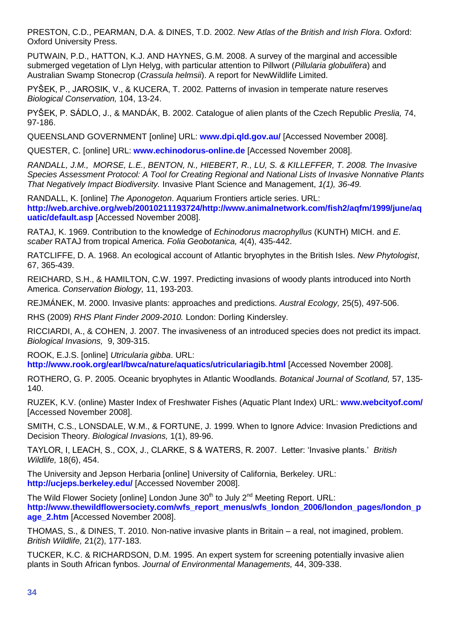PRESTON, C.D., PEARMAN, D.A. & DINES, T.D. 2002. *New Atlas of the British and Irish Flora*. Oxford: Oxford University Press.

PUTWAIN, P.D., HATTON, K.J. AND HAYNES, G.M. 2008. A survey of the marginal and accessible submerged vegetation of Llyn Helyg, with particular attention to Pillwort (*Pillularia globulifera*) and Australian Swamp Stonecrop (*Crassula helmsii*). A report for NewWildlife Limited.

PYŠEK, P., JAROSIK, V., & KUCERA, T. 2002. Patterns of invasion in temperate nature reserves *Biological Conservation,* 104, 13-24.

PYŠEK, P. SÁDLO, J., & MANDÁK, B. 2002. Catalogue of alien plants of the Czech Republic *Preslia,* 74, 97-186.

QUEENSLAND GOVERNMENT [online] URL: **[www.dpi.qld.gov.au/](http://www.dpi.qld.gov.au/)** [Accessed November 2008].

QUESTER, C. [online] URL: **[www.echinodorus-online.de](http://www.echinodorus-online.de/)** [Accessed November 2008].

*RANDALL, J.M., MORSE, L.E., BENTON, N., HIEBERT, R., LU, S. & KILLEFFER, T. 2008. The Invasive Species Assessment Protocol: A Tool for Creating Regional and National Lists of Invasive Nonnative Plants That Negatively Impact Biodiversity.* Invasive Plant Science and Management, *1(1), 36-49.*

RANDALL, K. [online] *The Aponogeton*. Aquarium Frontiers article series. URL: **[http://web.archive.org/web/20010211193724/http://www.animalnetwork.com/fish2/aqfm/1999/june/aq](http://web.archive.org/web/20010211193724/http:/www.animalnetwork.com/fish2/aqfm/1999/june/aquatic/default.asp) [uatic/default.asp](http://web.archive.org/web/20010211193724/http:/www.animalnetwork.com/fish2/aqfm/1999/june/aquatic/default.asp)** [Accessed November 2008].

RATAJ, K. 1969. Contribution to the knowledge of *Echinodorus macrophyllus* (KUNTH) MICH. and *E. scaber* RATAJ from tropical America. *Folia Geobotanica,* 4(4), 435-442.

RATCLIFFE, D. A. 1968. An ecological account of Atlantic bryophytes in the British Isles. *New Phytologist*, 67, 365-439.

REICHARD, S.H., & HAMILTON, C.W. 1997. Predicting invasions of woody plants introduced into North America. *Conservation Biology,* 11, 193-203.

REJMÁNEK, M. 2000. Invasive plants: approaches and predictions. *Austral Ecology,* 25(5), 497-506.

RHS (2009) *RHS Plant Finder 2009-2010.* London: Dorling Kindersley.

RICCIARDI, A., & COHEN, J. 2007. The invasiveness of an introduced species does not predict its impact. *Biological Invasions,* 9, 309-315.

ROOK, E.J.S. [online] *Utricularia gibba*. URL: **<http://www.rook.org/earl/bwca/nature/aquatics/utriculariagib.html>** [Accessed November 2008].

ROTHERO, G. P. 2005. Oceanic bryophytes in Atlantic Woodlands. *Botanical Journal of Scotland,* 57, 135- 140.

RUZEK, K.V. (online) Master Index of Freshwater Fishes (Aquatic Plant Index) URL: **[www.webcityof.com/](http://www.webcityof.com/)** [Accessed November 2008].

SMITH, C.S., LONSDALE, W.M., & FORTUNE, J. 1999. When to Ignore Advice: Invasion Predictions and Decision Theory. *Biological Invasions,* 1(1), 89-96.

TAYLOR, I, LEACH, S., COX, J., CLARKE, S & WATERS, R. 2007. Letter: 'Invasive plants.' *British Wildlife,* 18(6), 454.

The University and Jepson Herbaria [online] University of California, Berkeley. URL: **<http://ucjeps.berkeley.edu/>** [Accessed November 2008].

The Wild Flower Society [online] London June  $30<sup>th</sup>$  to July  $2<sup>nd</sup>$  Meeting Report. URL: **[http://www.thewildflowersociety.com/wfs\\_report\\_menus/wfs\\_london\\_2006/london\\_pages/london\\_p](http://www.thewildflowersociety.com/wfs_report_menus/wfs_london_2006/london_pages/london_page_2.htm) [age\\_2.htm](http://www.thewildflowersociety.com/wfs_report_menus/wfs_london_2006/london_pages/london_page_2.htm)** [Accessed November 2008].

THOMAS, S., & DINES, T. 2010. Non-native invasive plants in Britain – a real, not imagined, problem. *British Wildlife,* 21(2), 177-183.

TUCKER, K.C. & RICHARDSON, D.M. 1995. An expert system for screening potentially invasive alien plants in South African fynbos. *Journal of Environmental Managements,* 44, 309-338.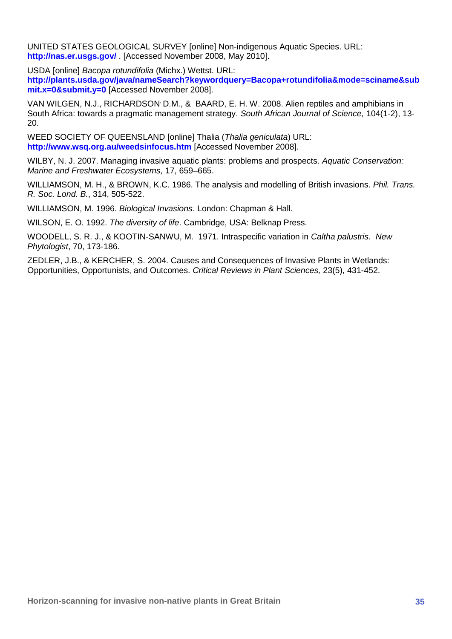UNITED STATES GEOLOGICAL SURVEY [online] Non-indigenous Aquatic Species. URL: **<http://nas.er.usgs.gov/>** . [Accessed November 2008, May 2010].

USDA [online] *Bacopa rotundifolia* (Michx.) Wettst. URL:

**[http://plants.usda.gov/java/nameSearch?keywordquery=Bacopa+rotundifolia&mode=sciname&sub](http://plants.usda.gov/java/nameSearch?keywordquery=Bacopa+rotundifolia&mode=sciname&submit.x=0&submit.y=0) [mit.x=0&submit.y=0](http://plants.usda.gov/java/nameSearch?keywordquery=Bacopa+rotundifolia&mode=sciname&submit.x=0&submit.y=0)** [Accessed November 2008].

VAN WILGEN, N.J., RICHARDSON, D.M., & BAARD, E. H. W. 2008. Alien reptiles and amphibians in South Africa: towards a pragmatic management strategy. *South African Journal of Science,* 104(1-2), 13- 20.

WEED SOCIETY OF QUEENSLAND [online] Thalia (*Thalia geniculata*) URL: **<http://www.wsq.org.au/weedsinfocus.htm>** [Accessed November 2008].

WILBY, N. J. 2007. Managing invasive aquatic plants: problems and prospects. *Aquatic Conservation: Marine and Freshwater Ecosystems,* 17, 659–665.

WILLIAMSON, M. H., & BROWN, K.C. 1986. The analysis and modelling of British invasions. *Phil. Trans. R. Soc. Lond. B.*, 314, 505-522.

WILLIAMSON, M. 1996. *Biological Invasions*. London: Chapman & Hall.

WILSON, E. O. 1992. *The diversity of life*. Cambridge, USA: Belknap Press.

WOODELL, S. R. J., & KOOTIN-SANWU, M. 1971. Intraspecific variation in *Caltha palustris. New Phytologist*, 70, 173-186.

ZEDLER, J.B., & KERCHER, S. 2004. Causes and Consequences of Invasive Plants in Wetlands: Opportunities, Opportunists, and Outcomes. *Critical Reviews in Plant Sciences,* 23(5), 431-452.